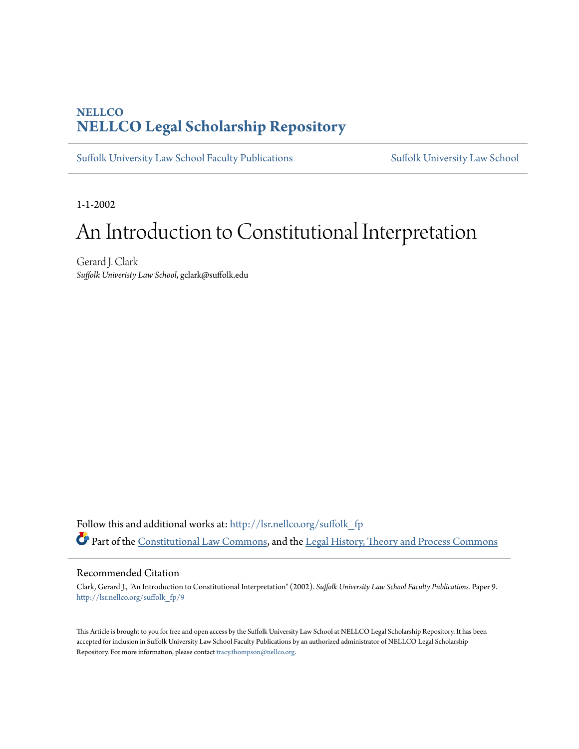# **NELLCO [NELLCO Legal Scholarship Repository](http://lsr.nellco.org?utm_source=lsr.nellco.org%2Fsuffolk_fp%2F9&utm_medium=PDF&utm_campaign=PDFCoverPages)**

[Suffolk University Law School Faculty Publications](http://lsr.nellco.org/suffolk_fp?utm_source=lsr.nellco.org%2Fsuffolk_fp%2F9&utm_medium=PDF&utm_campaign=PDFCoverPages) [Suffolk University Law School](http://lsr.nellco.org/suffolk_law?utm_source=lsr.nellco.org%2Fsuffolk_fp%2F9&utm_medium=PDF&utm_campaign=PDFCoverPages)

1-1-2002

# An Introduction to Constitutional Interpretation

Gerard J. Clark *Suffolk Univeristy Law School*, gclark@suffolk.edu

Follow this and additional works at: [http://lsr.nellco.org/suffolk\\_fp](http://lsr.nellco.org/suffolk_fp?utm_source=lsr.nellco.org%2Fsuffolk_fp%2F9&utm_medium=PDF&utm_campaign=PDFCoverPages) Part of the [Constitutional Law Commons,](http://network.bepress.com/hgg/discipline/589?utm_source=lsr.nellco.org%2Fsuffolk_fp%2F9&utm_medium=PDF&utm_campaign=PDFCoverPages) and the [Legal History, Theory and Process Commons](http://network.bepress.com/hgg/discipline/904?utm_source=lsr.nellco.org%2Fsuffolk_fp%2F9&utm_medium=PDF&utm_campaign=PDFCoverPages)

#### Recommended Citation

Clark, Gerard J., "An Introduction to Constitutional Interpretation" (2002). *Suffolk University Law School Faculty Publications.* Paper 9. [http://lsr.nellco.org/suffolk\\_fp/9](http://lsr.nellco.org/suffolk_fp/9?utm_source=lsr.nellco.org%2Fsuffolk_fp%2F9&utm_medium=PDF&utm_campaign=PDFCoverPages)

This Article is brought to you for free and open access by the Suffolk University Law School at NELLCO Legal Scholarship Repository. It has been accepted for inclusion in Suffolk University Law School Faculty Publications by an authorized administrator of NELLCO Legal Scholarship Repository. For more information, please contact [tracy.thompson@nellco.org.](mailto:tracy.thompson@nellco.org)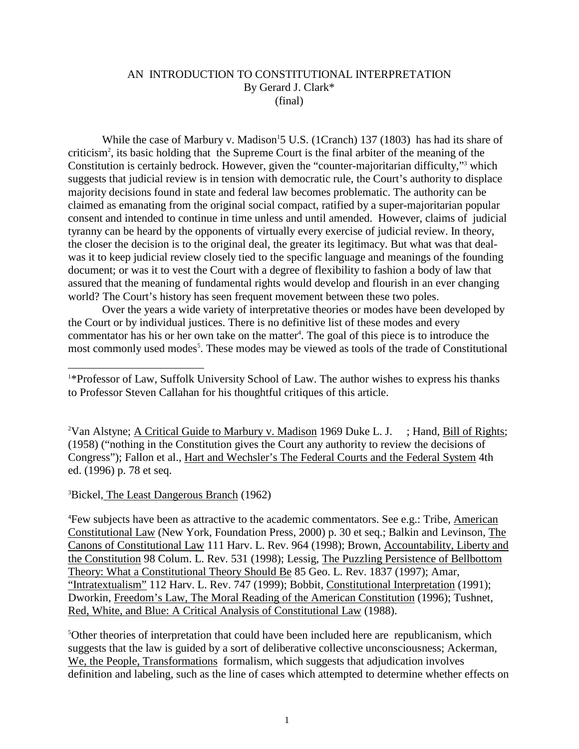#### AN INTRODUCTION TO CONSTITUTIONAL INTERPRETATION By Gerard J. Clark\* (final)

While the case of Marbury v. Madison  $15U.S.(1Cranch)137(1803)$ has had its share of criticism<sup>2</sup>, its basich olding that the Supreme Court is the final arbiter of the meanin gof the Constitution is certainly bedrock. However, given the "counter -majoritariandifficulty," <sup>3</sup>which suggests that judicial review is intension with democratic rule, the Court's authority to displace majority decisions found in state and federal law b ecomes problematic. The authority can be claimed as emanating from the original social compact, ratified by a super -majoritarian popular consent and intended to continue in time unless and until amended. However, claims of judicial tyranny can be heard b y the opponents of virtually every exercise of judicial review. In theory, the closer the decision is to the original deal, the greater its legitimacy. But what was that deal was it to keep judicial review closely tied to the specific language and meanings of the founding document; or was it to vest the Court with a degree of flexibility to fashion abody of law that assured that the meaning of fundamental rights would develop and flourish in an ever changing world? The Court's history has seen frequent mov ement between these two poles.

Overthe years a wide variety of interpretative theories or modes have been developed by the Court or by individual justices. The reisnode finitive list of these modes and every commentator has his order own take on the m atter<sup>4</sup>. The goal of this piece is to introduce the most commonly used modes <sup>5</sup>. These modes may be viewed as tools of the trade of Constitutional

<sup>2</sup>VanAlstyne; **ACriticalGuideto Marburyv.Madison** 1969DukeL.J.;Hand, BillofRights; (1958) ("nothing in the Constitution gives the Court any authority to review the decisions of Congress"); Fallon et al., Hart and Wechsler's The Federal Courts and the Federal System 4th ed. (1 996) p. 78 et seq.

<sup>3</sup>Bickel, The Least Dangerous Branch (1962)

<sup>4</sup> Few subjects have been as attractive to the academic commentators. See e.g.: Tribe, American Constitutional Law (New York, Foundation Press, 2000) p. 30 et seq.; Balkin and Levinson, The Canons of Constitutional Law 111 Harv. L. Rev. 964 (1998); Brown, Accountability, Liberty and the Constitution 98 Colum. L. Rev. 531 (1998); Lessig, The Puzzling Persistence of Bellbottom Theory: What a Constitutional Theory Should Be 85 Geo. L. Rev. 1837 (1997) ; Amar, "Intratextualism" 112 Harv. L. Rev. 747 (1999); Bobbit, Constitutional Interpretation (1991); Dworkin, Freedom's Law, The Moral Reading of the American Constitution (1996); Tushnet, Red, White, and Blue: A Critical Analysis of Constitutional Law (1988).

<sup>5</sup>Othertheories of interpretation that could have been included here are republicanism, which suggests that the law is guided by a sort of deliberative collective unconsciousness; Ackerman, We, the People, Transformations formalism, which suggests that adjudication involves definition and labeling, such as the line of cases which attempted to determine whether effects on

<sup>&</sup>lt;sup>1</sup>\*ProfessorofLaw,SuffolkUniversitySchoolofLaw.Theauthorwishestoexpresshisthanks to Professor Steven Callahan for his thoughtful critiques of this article.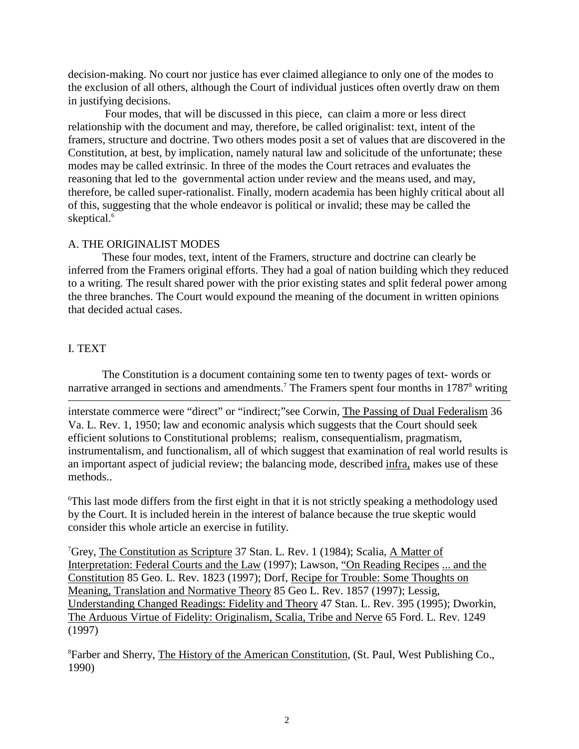decision-making. No court nor justice has ever claimed allegiance to only one of the modes to the exclusion of a llothers, although the Court of individual justices of ten overtly draw on them in justifying decisions.

Fourmodes, that will be discussed in this piece, can claim a more or less direct relationship with the document and may, therefore, be called origi nalist: text, intent of the framers, structure and doctrine. Two others modes positase to fvalues that are discovered in the Constitution, at best, by implication, namely natural law and solicitude of the unfortunate; these modes may be called extrinsic. In three of the modes the Court retraces and evaluates the reasoning that led to the governmental action under review and the means used, and may, therefore, be called super -rationalist. Finally, modernacademia has been highly critical about all of this , suggesting that the whole endeavoris political or invalid; these may be called the skeptical.<sup>6</sup>

# A. THEORIGINALIST MODES

These four modes, text, intent of the Framers, structure and doctrine can clearly be inferred from the Framers original efforts. Th eyhadagoal of nation building which they reduced to a writing. The results hared power with the prior existing states and splitfed eral power among the three branches. The Court would expound the meaning of the document in written opinions that decided actual cases.

# I. TEXT

The Constitution is a document containing some ten to twenty pages of text - words or narrative arranged in sections and amendments.  $T$ The Framers spent four months in 1787 <sup>8</sup>writing

interstate commerce were "direct" or "indirect; "see Corwin, The Passing of Dual Federalism 36 Va. L. Rev. 1, 1950; law and economi c analysis which suggests that the Court should seek efficient solutions to Constitutional problems; realism, consequentialism, pragmatism, instrumentalism, and functionalism, all of which suggest that examination of real world results is an important asp ect of judicial review; the balancing mode, described infra, makes use of these methods..

<sup>6</sup>Thislastmodediffersfromthefirsteightinthatitisnotstrictlyspeakingamethodologyused by the Court. It is included herein in the interest of balance bec ause the true skeptic would consider this whole article an exercise in futility.

<sup>7</sup>Grey, The Constitution as Scripture 37 Stan. L. Rev. 1 (1984); Scalia, AMatter of Interpretation: Federal Courts and the Law (1997); Lawson, "On Reading Recipes ... and the Constitution 85 Geo. L. Rev. 1823 (1997); Dorf, Recipe for Trouble: Some Thoughts on Meaning, Translation and Normative Theory 85 Geo L. Rev. 1857 (1997); Lessig, Understanding Changed Readings: Fidelity and Theory 47 Stan. L. Rev. 395 (1995); Dworkin, The Arduous Virtue of Fidelity: Originalism, Scalia, Tribe and Nerve 65 Ford. L. Rev. 1249 (1997)

<sup>8</sup>FarberandSherry, TheHistoryoftheAmericanConstitution (St.Paul, WestPublishing Co., 1990)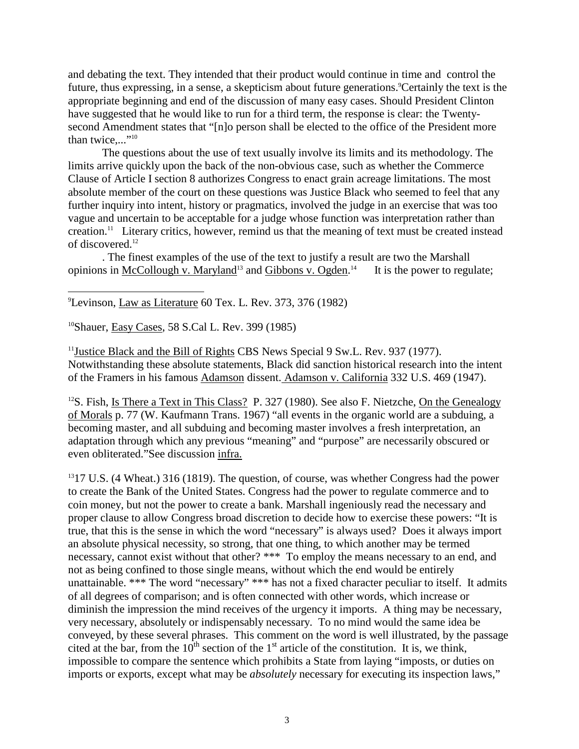and debating the text. The vintended that their product would continue in time and control the future, thus expressing, in a sense, as kepticism about future generations. <sup>9</sup>Certainly the text is the appropriate beginning and end of the discussion of many easy cases. Should President Clinton have suggeste d that he would like to run for a third term, the response is clear: the Twenty second Amendment states that "[n]opersonshall be elected to the office of the President more thantwice $\cdots$ <sup>"</sup>

The questions about the use of text usually involve its limits and its methodology. The limits arrive quickly upon the back of the non -obvious case, such as whether the Commerce Clause of Article I section 8 authorizes Congress to enact grain acreage limitations. The most absolute member of the court on the sequestion swas Justice Black whose emed to feel that any furtheringuiry into intent, history or pragmatics, involved the judge in an exercise that was too vague and uncertain to be acceptable for a judge whose function was interpretation rather than creation.<sup>11</sup>L iterary critics, however, remind us that the meaning of text must be created instead of discovered.<sup>12</sup>

. The finest examples of the use of the text to just if yare sultare two the Marshall opinions in McColloughy. Maryland <sup>13</sup> and Gibbons v. Ogden .<sup>14</sup> Itisth epowertoregulate;

<sup>9</sup>Levinson, LawasLiterature 60Tex.L.Rev.373,376(1982)

<sup>10</sup>Shauer, EasyCases , 58S.CalL. Rev. 399(1985)

<sup>11</sup>Justice Black and the Bill of Rights CBS News Special 9 Sw. L. Rev. 937 (1977). Notwithstanding these absolute statements, Black did sanction historical research into the intent of the Framers in his famous Adamson dissent. Adamson v. California 332 U.S. 469 (1947).

<sup>12</sup>S. Fish, Is Therea Textin This Class? P.327(1980). See also F. Nietzche, On the Genealogy of Morals p. 77 (W. Kaufmann Trans. 1967) "all events in the organic world are a subduing, a becoming master, and all subduing and becoming master involves a fresh interpretation, an adaptation through which any previous "meaning" and "purpose" are necessarily obscured or even obliterated."See discussion infra.

<sup>13</sup>17U.S. (4 Wheat.) 316 (1819). The questio n, of course, was whether Congress had the power to create the Bank of the United States. Congress had the power to regulate commerce and to coin money, but not the power to create a bank. Marshall ingeniously read the necessary and proper clause to allow Congress broad discretion to decide how to exercise these powers: "It is true, that this is the sense in which the word "necessary" is always used? Does it always import an absolute physical necessity, so strong, that one thing, to which another may be te rmed necessary, cannot exist without that other? \*\*\* To employ the means necessary to an end, and not as being confined to those single means, without which the end would be entirely unattainable.\*\*\*Theword"necessary"\*\*\*has not a fixed character pec uliar to itself. It admits of all degrees of comparison; and is often connected with other words, which increase or diminish the impression the mind receives of the urgency it imports. A thing may be necessary, very necessary, absolutely or indispensably necessary. To nomind would the same idea be conveyed, by these several phrases. This comment on the word is well illustrated, by the passage cited at the bar, from the 10  $t$  th section of the 1 st article of the constitution. It is, we think, impossible to compare the sentence which prohibits a State from laying "imposts, or duties on imports or exports, except what may be *absolutely* necessary for executing its inspection laws,"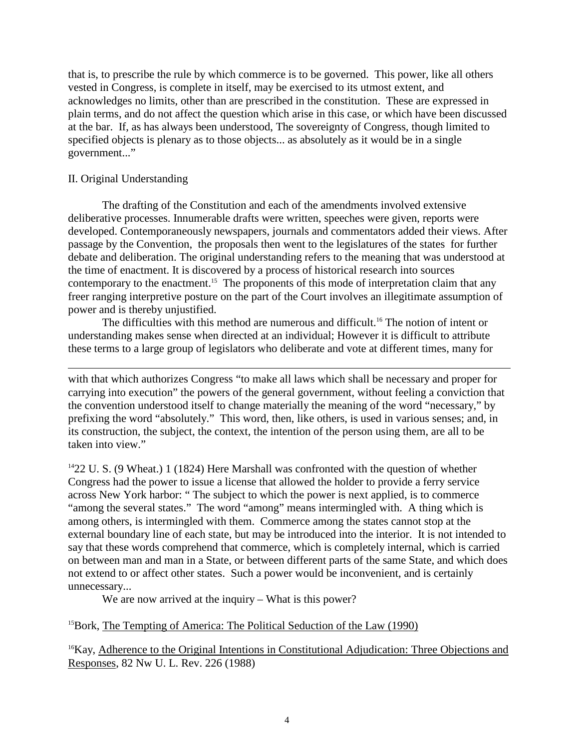that is, to prescribe the rule by which commerce is to be governed. This power, like all others vested in Congress, is complete in itself, may be exercised to its utmost extent, and acknowledges no limits, other than are prescribed in the constitution. These are expressed in plainterms, and donot affect the question which arise in this case, or which have been discussed at the bar. If, as has always been understood, The sovereignty of Congress, though limited to specified objects i splenary as to those objects... as absolutely as it would be inasingle government..."

#### II. Original Understanding

The drafting of the Constitution and each of the amendments involved extensive deliberative processes. Innumerable drafts were written, speeches were given, reports were developed. Contemporaneously newspapers, journals and commentators added their views. After passage by the Convention, the proposals then went to the legislatures of the states for further debate and deliberation. The or iginal understanding refers to the meaning that was understood at the time of enactment. It is discovered by a process of historical research into sources contemporary to the enactment. <sup>15</sup> The proponents of this mode of interpretation claim that any freerr anging interpretive posture on the part of the Court involves an illegitimate assumption of power and is thereby unjustified.

The difficulties with this method are numerous and difficult.  $16$  The notion of intent or understanding makes sense when directed a tanin dividual; However it is difficult to attribute these terms to a large group of legislators who deliberate and vote at different times, many for

with that which authorizes Congress "to make all laws which shall be necessary and proper for carrying into execution" the powers of the general government, without feeling a conviction that the convention understood itself to change materially the meaning of the word "necessary," by prefixing the word "absolutely." This word, then, like others, is used invarious senses; and, in its construction, the subject, the context, the intention of the person using them, are all to be taken into view."

<sup>14</sup>22U.S. (9Wheat.) 1 (1824) Here Marshall was confronted with the question of whether Congresshad the power to issue a license that allowed the holder to provide a ferry service acrossNew Yorkharbor: "The subject to which the power is next applied, is to commerce "among these veral states." The word "among" means intermingled with. A thi ng which is among others, is intermingled with them. Commerce among the states cannots to patthe external boundary line of each state, but may be introduced into the interior. It is not intended to say that these words comprehend that commerce, which is completely internal, which is carried on between man and manina State, or between different parts of the same State, and which does not extend to or affect other states. Such a power would be inconvenient, and is certainly unnecessary...

We are now ar rived at the inquiry – What is this power?

<sup>15</sup>Bork, The Tempting of America: The Political Seduction of the Law (1990)

<sup>16</sup>Kay, Adherencetothe Original Intentions in Constitutional Adjudication: Three Objections and Responses, 82 Nw U. L. Rev. 226 (1988)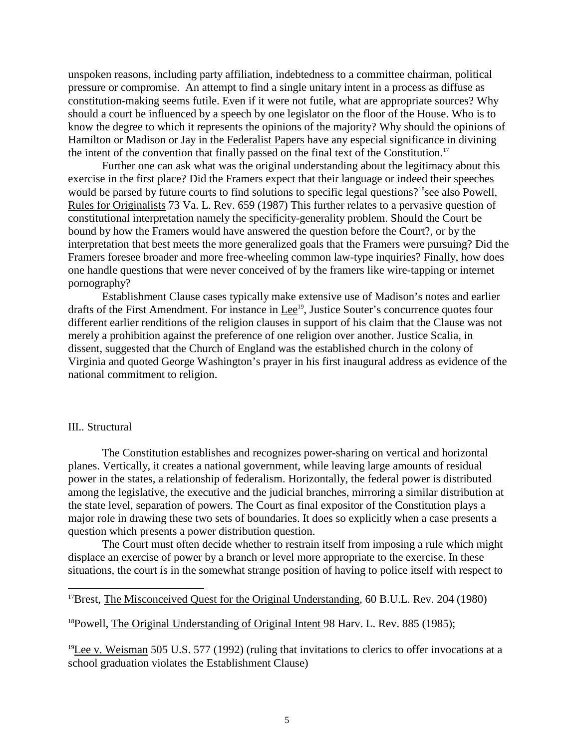unspoken reasons, including party affiliation, indebtedness to a committee chairman, political pressure or compromise. An attempt to find a single unitary intent in a process as diffuse as constitution-making seems futile. Even if it were not futile, what are appropriate sources? Why should a court be influenced by a speech by one legislator on the floor of the House. Who is to know the degree to which it represents the opinions of the majority? Why should the opinions of Hamilton or Madison or Jay in the Federal ist Papers have any especial significance indivining the intent of the convention that finally pa ssed on the final text of the Constitution.

Furtheronecanaskwhat was the original understanding about the legitimacy about this exercise in the first place? Did the Framers expect that their language or indeed their speeches would be parsed by futur ecourts to find solutions to specific legal questions? <sup>18</sup> see also Powell, Rules for Originalists 73 Va. L. Rev. 659 (1987) This further relates to a pervasive question of constitutional interpretation namely the specificity -generality problem. Should the Co urt be bound by how the Framers would have answered the question before the Court?, or by the interpretation that best meets the more generalized goals that the Framers were pursuing? Did the Framersforeseebroader and more free -wheeling common law -type inquiries? Finally, how does one handle questions that we renever conceived of by the framers likewire -tapping or internet pornography?

Establishment Clause cases typically make extensive use of Madison's notes and earlier drafts of the First Amendment. For instance in Lee<sup>19</sup>, Justice Souter's concurrence quotes four different earlier renditions of the religion clauses in support of his claim that the Clause was not merely a prohibition against the preference of one religion over another. Justice Scalia, in dissent, suggested that the Church of England was the established church in the colony of Virginia and quoted George Washington's prayer in his first inaugural address as evidence of the national commitment toreligion.

#### III.. Structural

The Constitution establishes and recognizes power -sharing on vertical and horizontal planes. Vertically, it creates a national government, while leaving large amounts of residual power in the states, are lationship of federalism. Horizontally, the federal power is discussed in stributed among the legislative, the executive and the judicial branches, mirroring as imilar distribution at the state level, separation of powers. The Court as final expositor of the Constitution plays a majorrole indrawing these two sets of boundaries . It does so explicitly when a case presents a question which presents a power distribution question.

The Court must often decide whether to restrain itself from imposing a rule which might displace an exercise of power by a branch or level more appropria term te to the exercise. In these situations, the courtisinthesome what strange position of having to police itself with respect to

```
<sup>17</sup>Brest, The Misconceived Questforthe Original Understanding .60 B.U.L. Rev. 204 (1980)
```
<sup>18</sup>Powell, The Original Understanding of Original Intent 98 Harv. L. Rev. 885 (1985);

 $19$ Leev. Weisman 505U.S. 577(1992) (ruling that invitations to clerics to offer invo $\alpha$  cations at a school graduation violates the Establishment Clause)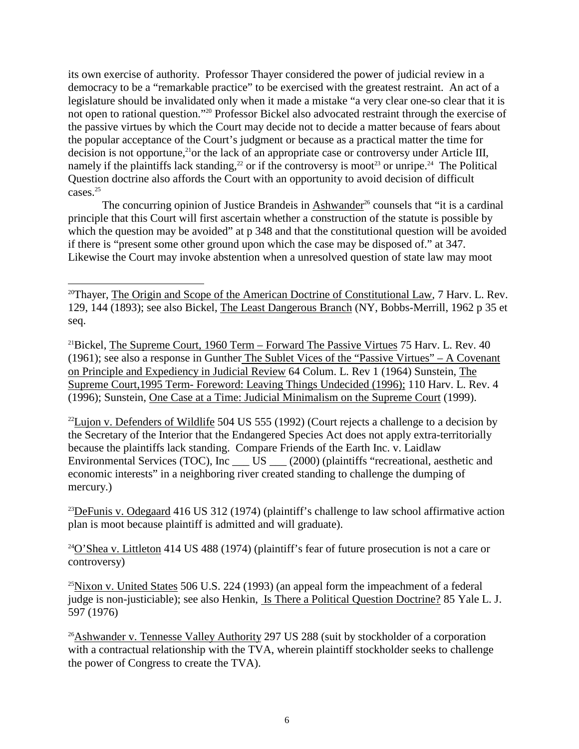its own exercise of authority. Professor Thay erronsidered the power of judicial review in a democracy to bea "remarkable pr actice" to be exercised with the greatest restraint. An actora legislature should be invalidated only when it made a mistake "a very clear one -soclear that it is not open to rational question." <sup>20</sup> Professor Bickel also advocated restraint through the exe rcise of the passive virtues by which the Court may decide not to decide a matter because of fears about the popular acceptance of the Court's judgment or because as a practical matter the time for  $decisionis not opportune, <sup>21</sup> orthelack of an appropriate case or controversy under Article III,$ namely if the plaintiffs lack standing,  $^{22}$  or if the controversy is moot  $^{23}$  or unripe.  $^{24}$  The Political Question doctrine also affords the Court with an opportunity to avoid decision of difficult cases.<sup>25</sup>

The concurring opi nion of Justice Brandeis in Ashwander<sup>26</sup> counsels that "it is a cardinal" principle that this Court will first ascertain whether a construction of the statute is possible by which the question may be avoided" at p 348 and that the constitutional question will be avoided if there is "present some other ground upon which the case may be disposed of." at 347. Likewise the Court may invoke abstention when a unresolved question of state law may moot

<sup>20</sup>Thayer, The Origin and Scope of the American Doctrine of Constitutional Law , 7 Harv. L. Rev. 129, 144(1893); see also Bickel, The Least Dangerous Branch (NY, Bobbs - Merrill, 1962p35 et seq.

<sup>21</sup>Bickel, The Supreme Court, 1960 Term – Forward The Passive Virtues 75 Harv. L. Rev. 40 (1961); see also a response in Gunther The Sublet Vices of the "Passive Virtues" – A Covenant on Principle and Expediency in Judicial Review 64 Colum. L. Rev 1 (1964 ) Sunstein. The Supreme Court, 1995 Term - Foreword: Leaving Things Undecided (1996); 110 Harv. L. Rev. 4 (1996); Sunstein, One Case at a Time: Judicial Minimalism on the Supreme Court (1999).

 $^{22}$ Lujonv. Defenders of Wildlife 504 US 555 (1992) (Court rejects a challenge to a decision by the Secretary of the Interior that the Endangered Species Act does not apply extra -territorially because the plaintiffs lack standing. Compare Friends of the Earth Inc. v. Laidlaw Environmental Services (TOC), Inc\_\_\_US\_\_\_ ( 2000) (plaintiffs "recreational, aesthetic and economic interests" in a neighboring river created standing to challenge the dumping of mercury.)

 $^{23}$ DeFunisv. Odegaard 416US312(1974)(plaintiff's challenge to law school affirmative action plan is moot bec ause plaintiff is admitted and will graduate).

 $^{24}$ O'Sheav. Littleton 414US488(1974) (plaintiff' sfear of future prosecution is not a care or controversy)

 $25$ Nixonv. United States  $506$ U.S.  $224(1993)$  (an appeal form the impeachment of a federal judge is no n-justiciable); see also Henkin, Is There a Political Question Doctrine? 85 Yale L.J. 597 (1976)

<sup>26</sup>Ashwanderv. Tennesse Valley Authority 297 US 288 (suit by stockholder of a corporation with a contractual relationship with the TVA, wherein plaintiff stochallenge kholderseeks to challenge the power of Congress to create the TVA).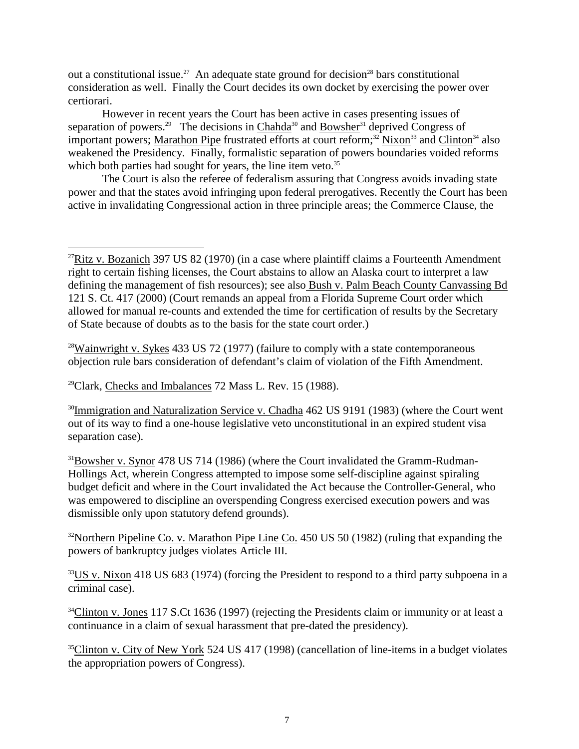out a constitutional issue. <sup>27</sup> An adequate state ground for decisi on<sup>28</sup> bars constitutional consideration as well. Finally the Court decides its own docket by exercising the power over certiorari.

However in recent years the Court has been active in cases presenting issues of separation of powers. <sup>29</sup> The decisions in Chahda<sup>30</sup> and Bowsher<sup>31</sup> deprived Congress of important powers; Marathon Pipe frustrated efforts at court reform;  $32$  Nixon  $33$  and Clinton  $34$  also weakened the Presidency. Finally, formalistic separation of powers boundaries voided reforms which both parties had sough tfor years, the line item veto.

The Courtisals othere feree of federalism assuring that Congress avoids invading state power and that the states avoid infringing upon federal prerogatives. Recently the Court has been active in invalidating Congression alaction in three principle areas; the Commerce Clause, the

 $28$ Wainwrightv. Sykes 433US72(1977) (failure to comply with a state contemporaneous objection rule bars consideration of defendant's claim of violation of the Fifth Amendment.

 $^{29}$ Clark, Checks and Imbalances 72 Mass L. Rev. 15 (1988).

<sup>30</sup>Immigration and Naturalization Service v. Chadha 462 US 9191 (1983) (where the Court went out of its way to find a one  $\blacksquare$ -house legislative veto unconstitutional in an expired student visa separation case).

<sup>31</sup>Bowsherv.Synor 478US714(1986) (where the Court invalidated the Gramm -Rudman-Hollings Act, wherein Congress attempted to impose some self -discipline against spiraling budget deficit and where in the Court invalidated the Act be cause the Controller -General, who was empowered to discipline an overspending Congress exercised execution powers and was dismissible only upon statutory defend grounds).

<sup>32</sup>Northern Pipeline Co. v. Marathon Pipe Line Co. 450 US 50 (1982) (ruling that expand ing the powers of bankruptcy judges violates Article III.

<sup>33</sup>USv. Nixon 418US683(1974) (forcing the President to respond to a third party subpoenaina criminal case).

<sup>34</sup>Clintony.Jones 117S.Ct1636(1997) (rejecting the Presidents claim or immunity or at least a continuance in a claim of sexual harassment that pre -dated the presidency).

<sup>35</sup>Clintonv.City of New York 524 US417 (1998) (cancellation of line -items in a budget violates the appropriation powers of Congress).

 $27$ Ritzv. Bozanich 397US82(1970) (in a case where plaintiff claims a Fourteenth Amendment righttocertainfishinglicenses, the Courtabstains to allow an Alaska court to interpretal aw<br>defining the management of fishresources); see also Bushy. Palm Beach County Canvassing Bd defining the management of fish resources); see also 121 S. Ct. 417 (2000) (Court remands an appeal from a Florida Supreme Court order which allowed for manual re -counts and extended the time for certification of results by the Secretary of State because of doubts as to the basis for the state court order.)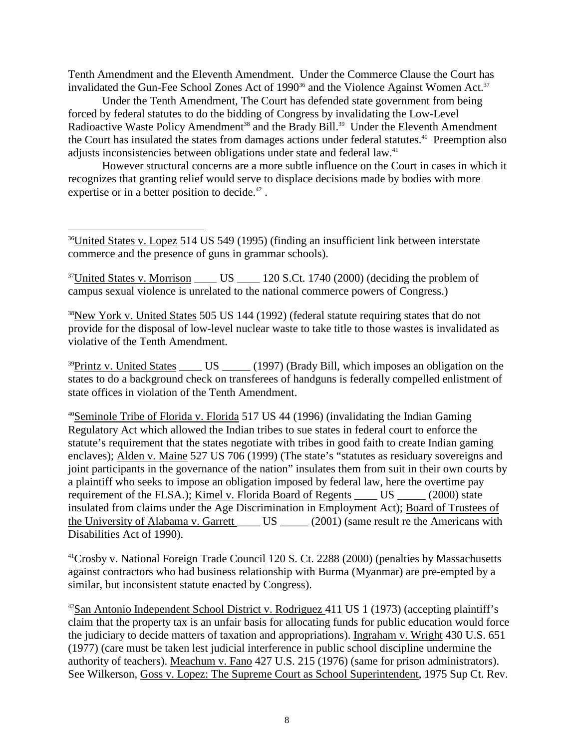Tenth Amendment and the Eleventh Amendment. Under the Commerce Clause the Courth as invalidated the Gun -Fee School Zones Act of 1990  $36$  and the Violence Against Women Act.  $37$ 

Under the Tenth Amendm ent, The Court has defended state government from being forced by federal statutes to do the bidding of Congress by invalidating the Low -Level Radioactive Waste Policy Amendment <sup>38</sup> and the Brady Bill. <sup>39</sup> Under the Eleventh Amendment the Court has insulated the states from damages actions under federal statutes.  $40$  Preemption also adjusts inconsistencies between obligations under state and federal law.

However structural concerns are a more subtle influence on the Court in cases in which it recognizes that gr anting relief would serve to displace decisions made by bodies with more expertiseorinabetter position to decide.

<sup>36</sup>United States v. Lopez 514 US 549 (1995) (finding an insufficient link between interstate commerce and the presence of gunsing rammar schools).

<sup>37</sup>United States v. Morrison \_\_\_\_\_ US\_\_\_\_\_ 120S.Ct. 1740 (2000) (deciding the problem of campus sexual violence is unrelated to the national comme reepowers of Congress.)

 $38$ New York v. United States  $505$ US 144 $(1992)$  (federal statute requiring states that donot provide for the disposal of low -level nuclear waste to take title to those wastes is invalidated as violative of the Tenth Amendment.

 $39$ Printzv. United States \_\_\_\_\_ US \_\_\_\_\_ (1997) (Brady Bill, which imposes an obligation on the states to do a background check on transferees of handguns is federally compelled enlistment of state of fices inviolation of the Tenth Amendment.

<sup>40</sup>Seminole Tribe of Fl oriday. Florida  $517US44(1996)$  (invalidating the Indian Gaming Regulatory Act which allowed the Indian tribes to sue states in federal court to enforce the statute's requirement that the states negotiate with tribes in good faith to create Indian gaming enclaves); Aldeny. Maine 527US706(1999) (The state's "statutes as residuary sovereigns and joint participants in the governance of the nation "insulates them from suit in their own courts by a plaintiff who seeks to impose anobligation imposed by fed eral law, here the overtime pay requirement of the FLSA.); Kimely. Florida Board of Regents US (2000) state insulated from claims under the Age Discrimination in Employment Act); Board of Trustees of the University of Alabamay. Garrett US  $(2001)$  (same result rethe Americans with Disabilities Actof 1990).

<sup>41</sup>Crosbyv.National Foreign Trade Council 120S.Ct. 2288 (2000) (penalties by Massachusetts against contractors who had business relationship with Burma (Myanmar) are pre -empted b y a similar, butinconsistent statute enacted by Congress).

<sup>42</sup>San Antonio Independent School Districty. Rodriguez 411 US 1 (1973) (accepting plaintiff's claim that the property tax is an unfair basis for allocating funds for public education would force the judiciary to decide matters of taxation and appropriations). Ingraham v. Wright 430 U.S. 651 (1977) (care must be taken lest judicial interference in public school discipline undermine the authority of teachers). Meach umv. Fano 427U.S.215 (1976) (same for prison administrators). See Wilkerson, Gossy. Lopez: The Supreme Court as School Superintendent , 1975 Sup Ct. Rev.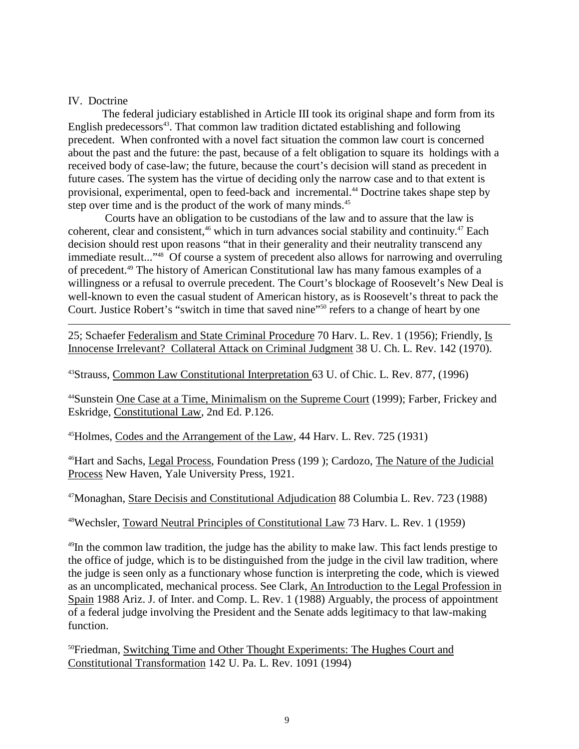#### IV. Doctrine

The federal judiciary established in Article III took its originals hape and form from its English predecessors<sup>43</sup>. That common law tradition dictated establishing and following precedent. When confronted with a novel facts ituation the common law court is concerned about the past and the future: the past, because of a felt obligation to square its holdings with a received body of case -law; the future, because the court's decision will stand as precedent in future cases. The system has the virtue of deciding only the narrow case and to that extent is provisional, experimental, open to feed -back and incremental.  $4D$  octrine takes shapes tep by stepovertime and is the product of the work of many minds.

 Courts have an obligation to be custodians of the law and to assure that the law is coherent, clear and consistent, <sup>46</sup> which in turn advances social stability and continuity.  $47$  Each decision should rest upon reasons "that in their generality and their neutrality transcendany immediateresult..." <sup>48</sup>Of course a system of precedentalso allows for narrowing and overruling of precedent. <sup>49</sup> The history of American Constitutional law has many famous examples of a willingnessorarefusal to overrule precedent. The Court's blockage of Roosevelt's New Deal is well-known to even the casual student of American history, as is Roosevelt's threat to pack the Court.JusticeRobert's "switchin time that saved nine" <sup>50</sup> refers to achange of heart by one

25; Schaefer Federalism and State Criminal Procedure 70 Harv. L. Rev. 1 (1956); Friendly, Is Innocense Irrelevant? Collateral Attack o n Criminal Judgment 38 U.Ch. L. Rev. 142 (1970).

<sup>43</sup>Strauss, CommonLawConstitutionalInterpretation 63U.ofChic.L.Rev.877, (1996)

<sup>44</sup>Sunstein One Case at a Time, Minimalism on the Supreme Court (1999); Farber, Frickey and Eskridge, Constitutional Law, 2nd Ed. P.126.

<sup>45</sup>Holmes, Codes and the Arrangement of the Law , 44 Harv. L. Rev. 725 (1931)

<sup>46</sup>Hart and Sachs, Legal Process, Foundation Press (199); Cardozo, The Nature of the Judicial Process New Haven, Yale University Press, 1921.

<sup>47</sup>Monaghan, StareDecisis and Constitutional Adjudication 88 Columbia L. Rev. 723 (1988)

48Wechsler, Toward Neutral Principles of Constitutional Law 73 Harv. L. Rev. 1 (1959)

 $49$ In the common law tradition, the judge has the ability to make law. This fact lends prestige to the office of judge, which is to be distinguished from the judge in the civil law tradition, where the judge is seen only as a functionary whose function is interpreting the code, which is viewed as an uncomplicated, mechanical process. See Clark, An Introduction to the Legal Profession in Spain 1988 Ariz. J. of Inter. and Comp. L. Rev. 1 (1988) Arguably, the process of appointment of a federal judge involving the President and the Senate adds legitimacy to that law -making function.

<sup>50</sup>Friedman, Switching Time and Oth er Thought Experiments: The Hughes Court and Constitutional Transformation 142U.Pa.L. Rev. 1091 (1994)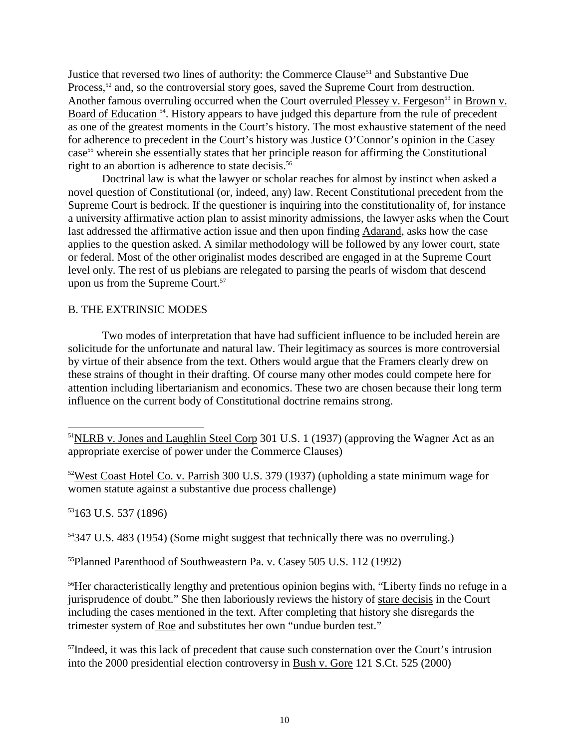Justice that reversed two lines of authority: the Commerce Clause <sup>51</sup> and Substantive Due Process,<sup>52</sup> and, so the controversial story goes, saved the Supreme Court from destruction. Another famous overr uling occurred when the Court overruled Plessey v. Fergeson <sup>53</sup> in Brown v. Board of Education <sup>54</sup>. History appears to have judged this departure from the rule of precedent as one of the greatest moments in the Court's history. The most exhaustive statement of the need for adherence to precedent in the Court's history was Justice O'Connor's opinion in the Casey case<sup>55</sup> wherein she essentially states that her principle reason for affirming the Constitutional rightto an abortion is adherence to statedecisis .<sup>56</sup>

Doctrinal law is what the law yer or scholar reaches for almost by instinct when asked a novel question of Constitutional (or, indeed, any) law. Recent Constitutional precedent from the Supreme Court is bedrock. If the questioner is inquiring into the constitu tionality of, for instance auniversity affirmative action planto assist minority admissions, the lawyer as ks when the Court last addressed the affirmative action issue and then upon finding Adarand, asks how the case applies to the question asked. A simi larmethodology will be followed by any lower court, state or federal. Most of the other original is tmodes described are engaged in at the Supreme Court level only. The rest of us plebians are relegated to parsing the pearls of wisdom that descend uponus from the Supreme Court.  $57$ 

#### **B. THE EXTRINSIC MODES**

Two modes of interpretation that have had sufficient influence to be included hereinare solicitude for the unfortunate and natural law. Their legitimacy as sources is more controversial by virtue of the irabsence from the text. Others would argue that the Framers clearly drew on these strains of thought in their drafting. Of course many other modes could compete here for attention including libertarianism and economics. These two are chosen because their long term influence on the current body of Constitutional doctrine remains strong.

<sup>53</sup>163U.S.537(1896)

<sup>54</sup>347U.S.483(1954)(Somemight suggest that technically the rewas no overruling.)

<sup>55</sup>Planned Parenthood of Southweastern Pa.v. Casey 505 U.S. 112 (1992)

<sup>56</sup>Her characteristically lengthy and pretentious opinion begins with, "Liberty finds no refuge in a jurisprudence of doubt." She then laboriously reviews the history of stare decisis in the Cou rt including the cases mentioned in the text. After completing that history shed is regards the trimester system of Roe and substitutes herown "undue burdentest."

<sup>57</sup>Indeed, it was this lack of precedent that cause such consternation over the Court's intru sion into the 2000 presidential election controversy in Bushy. Gore 121 S.Ct. 525 (2000)

<sup>&</sup>lt;sup>51</sup>NLRB v. Jones and Laughlin Steel Corp <br>
301 U.S. 1 (1937) (approving the Wagner Actasan appropriate exercise of power under the Commerce Clauses)

 $52West CoastHoteICo.v.Parrish$  300U.S.379(1937)(upholding a state minimum wage for women statute against a substantive due process challenge)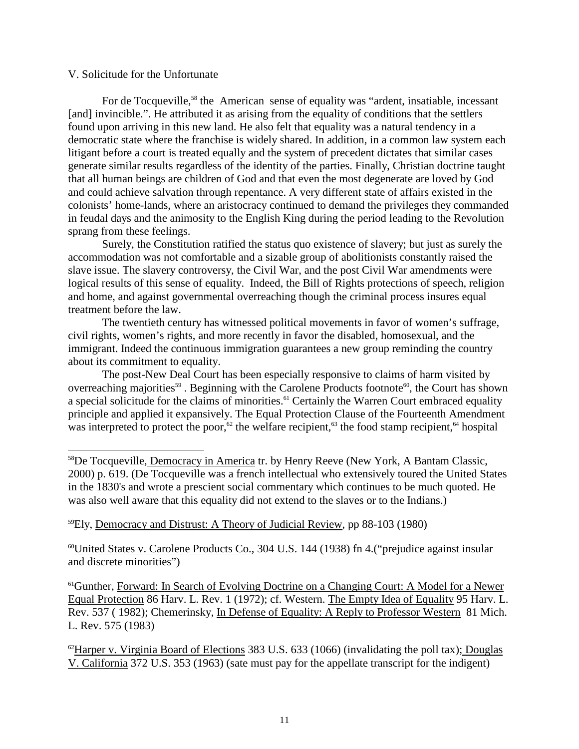#### V. Solicitude for the Unfortunate

For de Tocqueville, <sup>58</sup> the American sense of equality was "ardent, insatiable, incessant [and] invincible.". He attributed it as arisin g from the equality of conditions that the settlers found upon arriving in this new land. He also felt that equality was a natural tendency in a democratic state where the franchise is widely shared. In addition, in a common law system each litigant before a court is treated equally and the system of precedent dictates that similar cases generatesimilar results regardless of the identity of the parties. Finally, Christian doctrine taught that all human beings are children of God and that even the most dege nerate are loved by God and could achieve salvation through repentance. A very different state of affairs existed in the colonists' home -lands, where an aristocracy continued to demand the privileges they commanded in feudal days and the animosity to the E nglish King during the period leading to the Revolution sprangfrom these feelings.

Surely, the Constitution ratified the status quoexistence of slavery; but just as surely the accommodation was not comfortable and a sizable group of abolitionists const antly raised the slave issue. The slavery controversy, the Civil War, and the post Civil War amendments were logical results of this sense of equality. Indeed, the Bill of Rights protections of speech, religion and home, and against governmental overreach ing though the criminal process insures equal treatment before the law.

The twentieth century has witnessed political movements in favor of women's suffrage, civil rights, women's rights, and more recently in favor the disabled, homosexual, and the immigrant. Indeed the continuous immigration guarantees a new group reminding the country aboutits commitment to equality.

The post-New Deal Courth as been especially responsive to claims of harm visited by overreaching majorities <sup>59</sup>. Beginning with the Caro lene Products footnote <sup>60</sup>, the Court has shown aspecial solicitude for the claims of minorities.  $61$  Certainly the Warren Court embraced equality principle and applied it expansively. The Equal Protection Clause of the Fourteenth Amendment was interpreted to p rotect the poor, <sup>62</sup> the welfare recipient, <sup>63</sup> the food stamp recipient, <sup>64</sup> hospital

<sup>59</sup>Ely, Democracy and Distrust: A Theory of Judicial Review \_\_\_, pp 88 -103 (1980)

<sup>60</sup>United States v. Carolene Products Co., 304 U.S. 144 (1938) fn 4. ("prejudice against insular and discrete minorities")

<sup>61</sup>Gunther, Forward: In Search of Evolving Doctrine on a Changing Court: A Model for a Newer<br>Equal Protection 86Harv. L. Rev. 1(1972); cf. Western. The Emptyl dea of Equality 95Harv. L. Equal Protection 86 Harv. L. Rev.  $1(1972)$ ; cf. Western. Rev. 537(1982); Chemerinsky, In Defense of Equality: A Reply to Professor Western 81 Mich. L. Rev. 575 (1983)

 $^{62}$ Harperv. Virginia Board of Elections 383 U.S. 633 (1066) (invalidating the epolltax); Douglas V. California 372U.S. 353 (1963) (satemust pay for the appellate transcript for the indigent)

<sup>&</sup>lt;sup>58</sup>De Tocqueville, Democracy in America tr. by Henry Reeve (New York, A Bantam Classic, 2000) p. 619. (De Tocqueville was a french intellectual who extensively toured the United States in the 1830's and wrote a prescients ocial commentary which continues to be much quoted. He was also well aware that this equality didnotextend to the slaves or to the Indians.)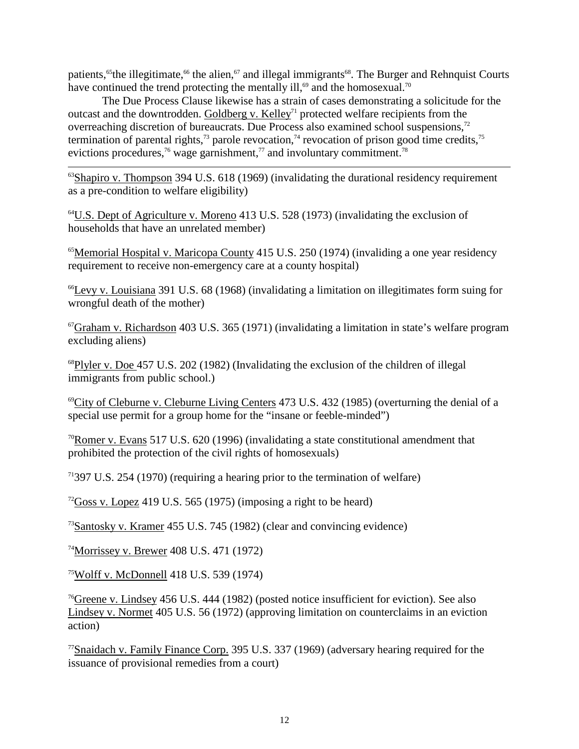patients,<sup>65</sup>the illegitimate, <sup>66</sup> the alien, <sup>67</sup> and illegal immigrants <sup>68</sup>. The Burger and Rehnquist Courts have continued the trend protecting the mentally ill,  $\frac{69}{{\text{and}}\text{the} \text{homosexual.}}$ <sup>70</sup>

The Due Process Clause likewise has a strain of cases demonstrating a solicitude for the outcast and the downtrodden. Goldbergy. Kelley <sup>71</sup> protected welfare recipients from the overreaching discretion of bureaucrats. Due Process also examined school suspension s,<sup>72</sup> termination of parental rights,  $73$  paroler evocation,  $74$  revocation of prison good time credits,  $75$ evictions procedures,  $\frac{76}{9}$  wage garnishment,  $\frac{77}{9}$  and involuntary commitment.

 $^{63}$ Shapirov. Thompson 394U.S. 618(1969) (invalidating the durational residency requirement as a pre -condition to welf are eligibility)

 $^{64}$ U.S. Dept of Agriculture v. Moreno  $413$ U.S.  $528(1973)$  (invalidating the exclusion of households that have an unrelated member)

<sup>65</sup>Memorial Hospital v. Maricopa County 415U.S. 250 (1974) (invaliding a one year residency requirement to receive non-emergency car eat a county hospital)

 $^{66}$ Levyv. Louisiana 391U.S. 68 $(1968)$  (invalidating a limitation on illegitimates form suing for wrongful death of the mother)

 $67$ Grahamv. Richardson 403U.S.365(1971) (invalidating a limitation in state's welfare program excluding aliens)

 $^{68}$ Plylerv.Doe 457U.S.202(1982)(Invalidating the exclusion of the children of illegal immigrants from public school.)

 $^{69}$ City of Cleburne v. Cleburne Living Centers  $473U.S. 432(1985)$  (overturning the denial of a special use permit for a group home for the "insane or feeble -minded")

 $70$ Romerv. Evans 517U.S. 620(1996) (invalidating a state constitutional amendment that prohibited the protection of the civil rights of homosexuals)

 $71397U.S. 254(1970)$  (requiring a hearing prior to the termination of welfare)

 $^{72}$ Gossv. Lopez 419U.S. 565 (1975) (imposing a right to be heard)

<sup>73</sup>Santoskyv. Kramer 455U.S.745(1982) (clear and convincing evidence)

 $^{74}$ Morrisseyv.Brewer 408U.S.471(1972)

 $75$ Wolffv.McDonnell 418U.S.539(1974)

<sup>76</sup>Greenev.Lindsey 456U.S.444(1982)(posted notice insufficient for eviction). See also Lindseyv. Normet 405U.S.56(1972) (approving limitation on counterclaims in an eviction action)

<sup>77</sup>Snaidachv.Family Finance Corp. 395 U.S. 337 (1969) (adversary hearing required for the issuance of provisional remedies from a court)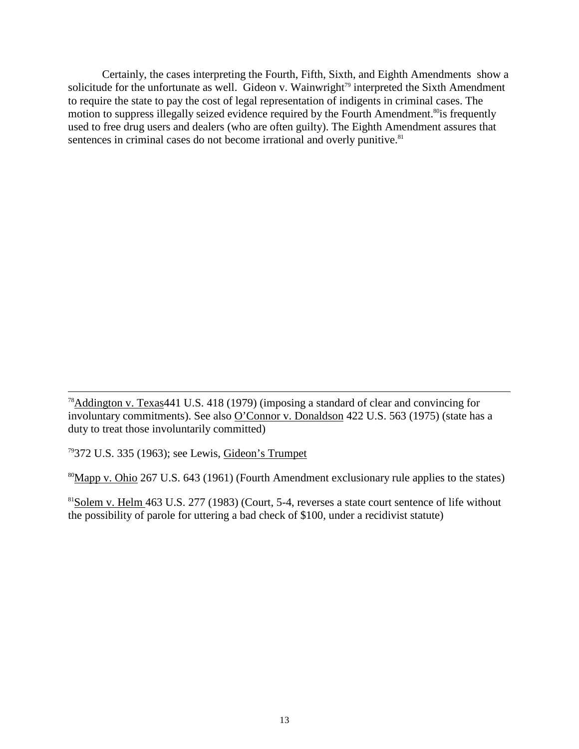Certainly, the cases interpreting the Fourth, Fifth, Sixth, and Eighth Amendments show wa solicitude for the unfortunate as well. Gideony. Wainwright <sup>79</sup> interpreted the Sixth Amendment to require the state to pay the cost of legal representation of indigents incriminal cases. The motion to suppress illegally seized evidence required by the Fourth Amendment. <sup>80</sup> is frequently used to free drug users and dealers (who are often guilty). The Eighth Amendment assures that<br>sentence incriminal cases do not become irrational and overly punitive sentences in criminal cases do not become irrational and overly punitive.

 $78$ Addingtonv. Texas 441U.S. 418 (1979) (imposing a standard of clear and convincing for involuntary commitments). See also O'Connorv. Donaldson 422U.S.563(1975) (state has a duty to treat those involuntar ily committed)

79372 U.S. 335 (1963); see Lewis, Gideon's Trumpet

80Mappv.Ohio 267U.S.643(1961) (Fourth Amendment exclusionary rule applies to the states)

 $81$ Solemv. Helm  $463$ U.S.  $277(1983)$ (Court,  $5 -4$ , reverses a state court sentence of life without the possibility of parole for uttering a bad check of \$100, under a recidivist statute)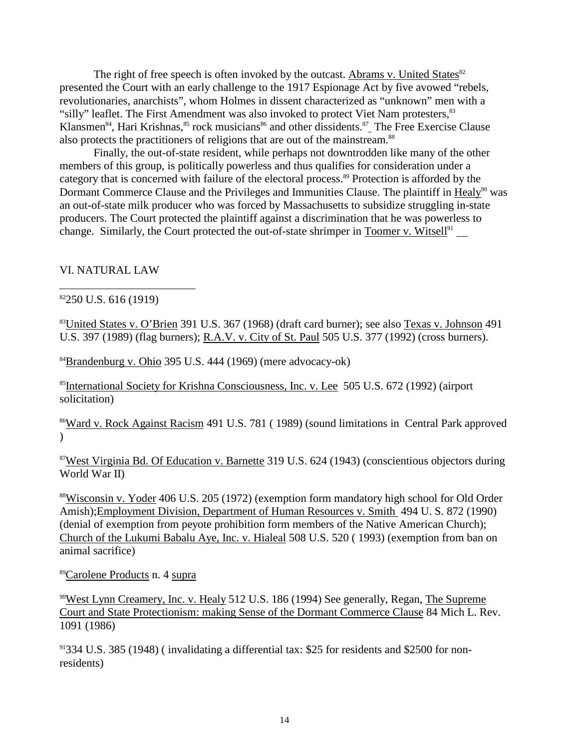The right of free speechis often invoked by the out cast. Abrams v. United States  $82$ presented the Court with an early challenge to the 1917 Espionage Act by five avowed "rebels, revolutionaries, anarchists", whom Holmes indissent characterized as "unknown" men with a "silly" leaflet. The First Amendment was also invoked to protect Viet Nam protesters, Klansmen<sup>84</sup>, Hari Krishnas, <sup>85</sup>rock musicians <sup>86</sup> and other dissidents. <sup>87</sup> The Free Exercise Clause also protects the practitioners of religions that are out of the mainstream.

Finally, the out -of-state resident, wh ile perhaps not downtrodden like many of the other members of this group, is politically powerless and thus qualifies for consideration under a category that is concerned with failure of the electoral process. <sup>89</sup> Protection is afforded by the Dormant Commerc e Clause and the Privileges and Immunities Clause. The plaintiff in Healy<sup>90</sup> was an out -of-state milk producer who was forced by Massach use tts to subsidize struggling in -state producers. The Court protected the plaintiff against a discrimination that he was powerless to change. Similarly, the Court protected the out -of-state shrimper in Toomer v. Witsell <sup>91</sup>

#### VI.NATURALLAW

#### $82250$ U.S.616(1919)

<sup>83</sup>United States v. O'Brien 391 U.S. 367 (1968) (draft card burner); see also Texas v. Johnson 491 U.S. 397(1989) (flagburners); R.A.V.v. City of St . Paul 505 U.S. 377(1992) (cross burners).

 $84$ Brandenburgv. Ohio 395U.S. 444 (1969) (mere advocacy -ok)

<sup>85</sup>International Society for Krishna Consciousness, Inc. v. Lee 505U.S. 672 (1992) (airport solicitation)

<sup>86</sup>Wardy. Rock Against Racism 491 U.S. 781 (19 89) (sound limitations in Central Park approved  $\lambda$ 

<sup>87</sup>West Virginia Bd. Of Education v. Barnette 319 U.S. 624 (1943) (conscientious objectors during World War II)

88Wisconsinv. Yoder 406U.S.205(1972) (exemption form mandatory highs chool for Old Order Amish)Employment Division, Department of Human Resources v. Smith 494 U.S. 872 (1990) (denial of exemption from peyote prohibition form members of the Native American Church); Church of the Lukumi Babalu Aye, Inc. v. Hialeal 508 U.S. 520 (1993) (exemption from band on animal sacrifice)

89Carolene Products n. 4 supra

<sup>90</sup>WestLynnCreamery, Inc. v. Healy 512U.S. 186 (1994) See generally, Regan, The Supreme Court and State Protectionism: making Sense of the Dormant Commerce Clause 84 Mich L. Rev. 1091 (1986)

<sup>91</sup>334U.S.385(1948)(invalidating a differential tax: \$25 for residents and \$2500 for non residents)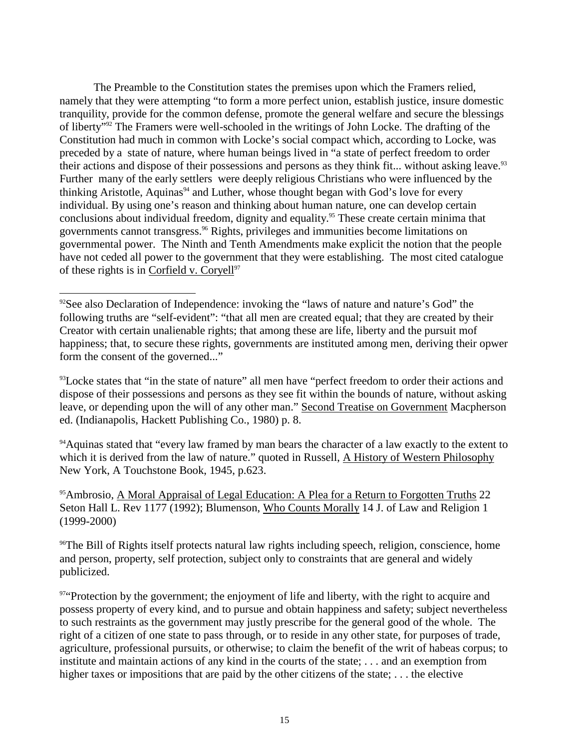The Preamble to the Constitution states the premises upon which the Framers relied, namely that they were attempting "to for mamore perfectunion, establish justice, insured omestic tranquility, provide for the common defense, promote the general welfare and secure the blessings of liberty" <sup>92</sup> The Framers were well -schooled in the writings of John Locke. The drafting of the Constitution had much incommon with Locke's social compact which, according to Locke, was preceded by a state of nature, where human being slived in "a state of perfect freedom to order their actions and dispose of their possessions and persons as they think fit... without asking leave. <sup>93</sup> Furthermany of the early settlers were deeply religious Christians who we reinfluenced by the thinking Aristotle, Aquinas <sup>94</sup> and Luther, whose though the gan with God's love for every individual. By using one's reasonand thi nking about human nature, one can develop certain conclusions about individual freedom, dignity and equality. <sup>95</sup> These create certain minima that governments cannot transgress. <sup>96</sup> Rights, privileges and immunities become limitations on governmental power. The Ninth and Tenth Amendments make explicit the notion that the people have not ceded all power to the government that they were establishing. The most cited catalogue of these rights is in Corfieldy. Coryell  $97$ 

<sup>93</sup>Locke states that "in the state of nature" all men have "perfect freedom to order their actions and dispose of their possessions and persons as they see fit within the bounds of nature, without asking leave, or depending upon the will of any o therman." Second Treatise on Government Macpherson ed. (Indianapolis, Hackett Publishing Co., 1980) p.8.

<sup>94</sup>Aquinas stated that "every law framed by man bears the character of a law exactly to the extent to which it is derived from the law of nature." quot edin Russell, A History of Western Philosophy New York, A Touchstone Book, 1945, p.623.

<sup>95</sup>Ambrosio, A Moral Appraisal of Legal Education: A Plea for a Return to Forgotten Truths 22 Seton Hall L. Rev 1177 (1992); Blumenson, Who Counts Morally 14 J. of Law a nd Religion 1 (1999-2000)

<sup>96</sup>The Bill of Rights itself protects natural law rights including speech, religion, conscience, home and person, property, self protection, subject only to constraints that are general and widely publicized.

97"Protection by the gov ernment; the enjoyment of life and liberty, with the right to acquire and possess property of every kind, and to pursue and obtain happiness and safety; subject nevertheless to such restraints as the government may justly prescribe for the general good of the whole. The right of a citizen of one state to pass through, or to reside in any other state, for purposes of trade, agriculture, professional pursuits, or otherwise; to claim the benefit of the writ of habeas corpus; to institute and maintain actions of any kind in the courts of the state;... and an exemption from highertaxes or impositions that are paid by the other citizens of the state;... the elective

<sup>&</sup>lt;sup>92</sup>See also Declaration of Independence: invoking the "laws of nature and nature's God" the following truths are "self -evident": "that all men are created equ al; that the vare created by their Creator with certain unalienable rights; that among these are life, liberty and the pursuit mof happiness; that, to secure these rights, governments are instituted among men, deriving their opwer form the consent of the g overned..."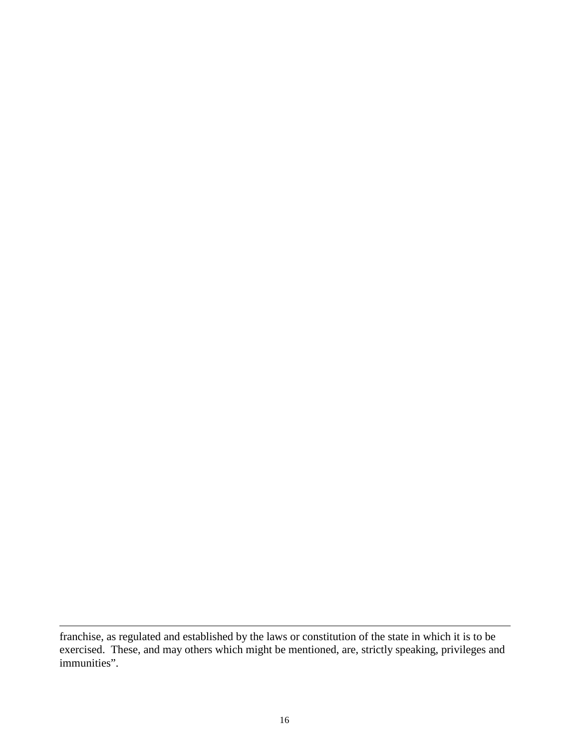franchise, as regulated and established by the laws or constitution of the state in which i tisto be exercised. These, and may others which might be mentioned, are, strictly speaking, privileges and immunities".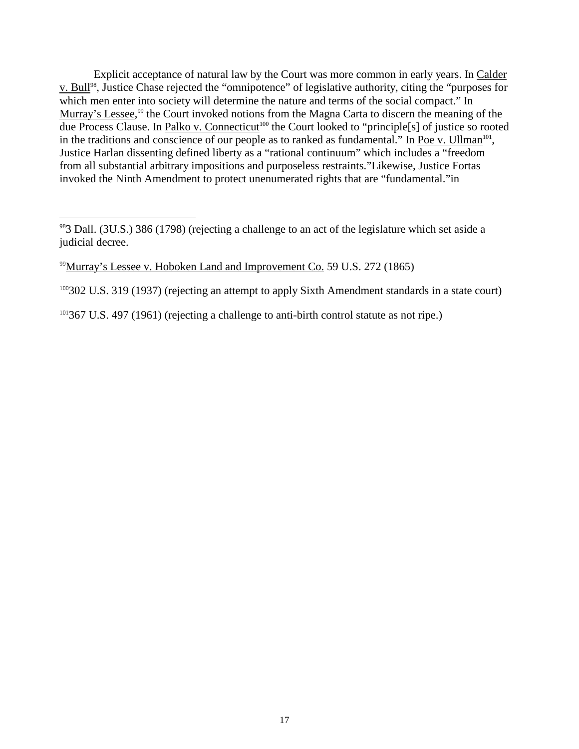Explicit acceptance of natural law by the Cou rtwas more commoninearly years. In Calder v. Bull <sup>98</sup>, Justice Chase rejected the "omnipotence" of legislative authority, citing the "purposes for which men enter into society will determine the nature and terms of the social compact." In Murray's Lessee,<sup>99</sup>the Courtinvoked notions from the Magna Cartatodiscern the meaning of the due Process Clause. In Palkov. Connecticut <sup>100</sup> the Court looked to "principle[s] of justices or ooted in the traditions and conscience of our people as to ranked as fundamental. "I n Poev. Ullman <sup>101</sup>, in the traditions and conscience of our people as to ranked as fundamental." I Justice Harlan dissenting defined liberty as a "rational continuum" which includes a "freedom from all substantial arbitrary impositions and purposeless restraints. "Likewise, Justice Fortas invoked the Ninth Amendment to protect unenumera ted rights that are "fundamental." in

<sup>100</sup>302U.S.319(1937)(rejecting an attempt to apply Sixth Amendment standards in a state court)

<sup>101</sup>367U.S.497(1961) (rejecting a challenge to anti -birth control statute as not ripe.)

<sup>983</sup> Dall. (3U.S.) 386 (1798) (rejecting a challenge to anact of the legislature which set as idea judicial decree.

 $^{99}$ Murray's Lesseev . Hoboken Land and Improvement Co. 59U.S. 272 (1865)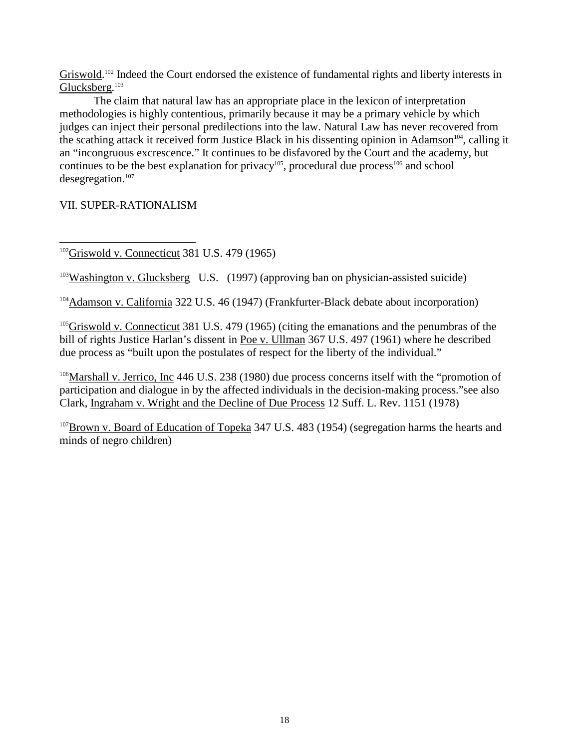Griswold.<sup>102</sup>Indeed the Courtendorsed the existence of fundamental rights and liberty interests in Glucksberg.<sup>103</sup>

The claim that natural law has an appropriate place in the lexicon of interpretation methodologies is highlycontentious, primarily because it may be a primary vehicle by which judges can inject their personal predilections into the law. Natural Law has never recovered from the scathing attack it received form Justice Black in his dissenting opinion in Adamson<sup>104</sup>, calling it an "incongruous excrescence." It continues to be disfavored by the Court and the academy, but continues to be the best explanation for privacy  $105$ , procedural due process  $106$  and school desegregation.<sup>107</sup>

VII. SUPER -RATIONALISM

 $102$ Griswoldv. Conne cticut 381 U.S. 479 (1965)

<sup>103</sup>Washingtonv.Glucksberg\_U.S. (1997) (approving ban on physician -assisted suicide)

<sup>104</sup>Adamsonv. California 322U.S.46(1947) (Frankfurter -Black debate about incorporation)

 $105$ Griswoldv. Connecticut 381U.S.479 $(1965)$  (citing the emanations and the penumbras of the bill of rights Justice Harlan's dissentin Poev. Ullman 367 U.S. 497 (1961) where he described due processas "built upon the postulates of respect for the liberty of the individual."

<sup>106</sup>Marshally.Jerrico, Inc 446U.S.238(1980) due process concerns itself with the "promotion of participation and dialogue in by the affected individuals in the decision -making process." see also Clark, Ingrahamv. Wright and the Decline of Due Process 12 Suff. L. Rev. 1151 (1978)

 $107B$ rownv. Board of Education of Topeka  $347U.S. 483(1954)$  (segregation harms the hearts and minds of negro children)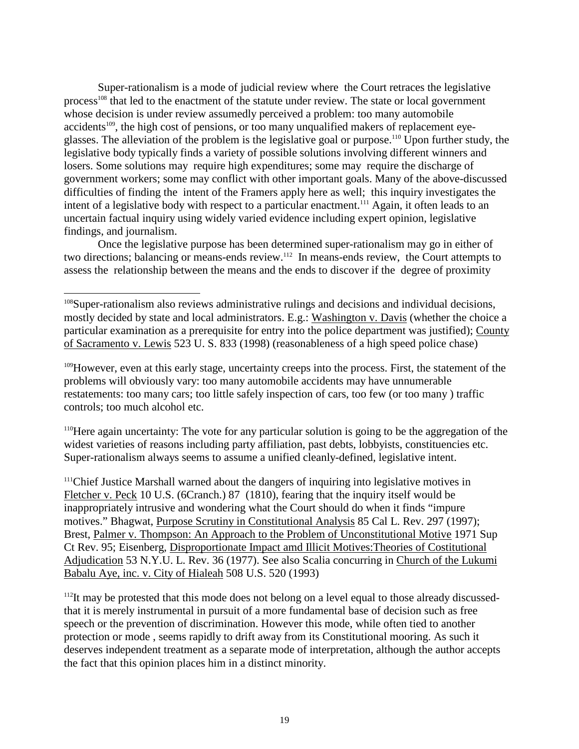Super-rationalismi samodeof judicial review where the Court retraces the legislative process<sup>108</sup> that led to the enactment of the statute underreview. The state or local government whose decision is underreview assumedly perceived a problem: too many automobile accidents<sup>109</sup>, the high cost of pensions, or too many unqualified make rsofre placement eye glasses. The alleviation of the problem is the legislative goal or purpose. <sup>110</sup> Upon further study, the legislative body typically finds a variety of possible solutions involving d ifferent winners and losers. Some solutions may require high expenditures; some may require the discharge of government workers; some may conflict with other important goals. Many of the above -discussed difficulties of finding the intent of the Framers apply here as well; this inquiry investigates the intent of alegislative body with respect to a particular enact ment.  $\frac{111}{2}$  Again, it of ten leads to an intent of a legislative body with respect to a particular enactment. uncertain factual inquiry using widely varied evidence including expert opinion, legislative findings, and journalism.

Once the legislative purpose has been determined super -rationalism may goine it her of two directions; balancing or means -ends review. <sup>112</sup> In means -ends review, the Court attempts to assess the relationship between the means and the ends to discussed in scover if the degree of proximity

<sup>108</sup>Super-rationalism also reviews administrative rulings and decisions and individual decisions, mostly decided by state and local administrato rs. E.g.: Washington v. Davis (whether the choice a particular examination as a prerequisite for entry into the police department was justified); County of Sacramentov. Lewis 523U.S.833(1998) (reasonableness of a high speed police chase)

<sup>109</sup>However, eve natthis early stage, uncertainty creeps into the process. First, the statement of the problems will obviously vary: too many automobile accidents may have unnumerable restatements: too many cars; too littles afely inspection of cars, too few (or too many ) traffic controls: too much alcoholetc.

<sup>110</sup>Here again uncertainty: The vote for any particular solution is going to be the aggregation of the widest varieties of reasons including party affiliation, past debts, lobby ists, constituencies etc. Super-rationalismalways seems to assume a unified cleanly -defined, legislative intent.

<sup>111</sup>Chief Justice Marshall warned about the dangers of inquiring into legislative motives in Fletcherv. Peck 10 U.S. (6 Cranch.) 87 (1810), fearing that the inquiry itself would be inappropriately intrusive and wondering what the Court should downen it finds "impure motives." Bhagwat, Purpose Scrutiny in Constitutional Analysis 85 Cal L. Rev. 297 (1997); Brest, Palmery. Thompson: An Approach to the Problem of Unconstitutional Motive 1971 Sup Ct Rev. 95; Eisenberg, Disproportionate Impactam dIllicit Motives: Theories of Costitutional Adjudication 53 N.Y.U.L. Rev. 36 (1977). See also Scalia concurring in Church of the Lukumi Babalu Aye, inc. v. City of Hialeah 508 U.S. 520 (1993)

 $112$ Itm ay be protested that this mode does not belong on a level equal to those already discussed that it is merely instrumental inpursuit of a more fundamental base of decision such as free speech or the prevention of discrimination. However this mode, while o ften tied to another protection or mode, seems rapidly to drift away from its Constitutional mooring. As such it deserves independent treatment as a separate mode of interpretation, although the author accepts the fact that this opinion places himinadi stinct minority.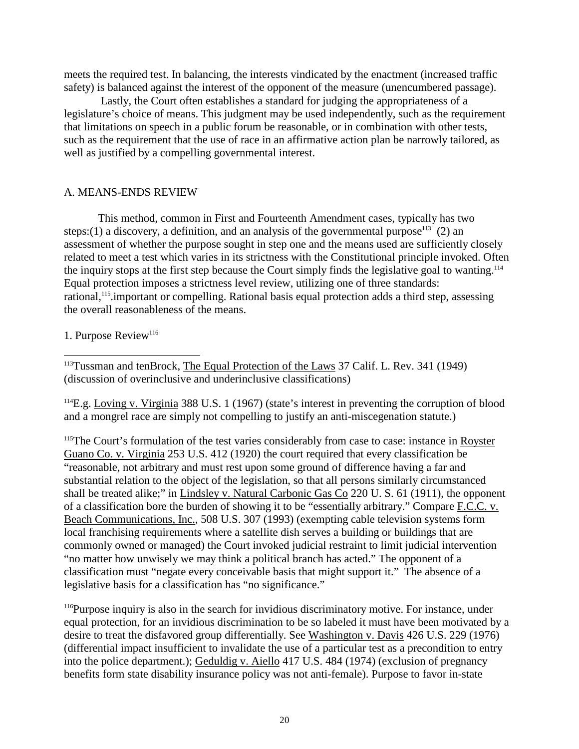meets the required test. In balancing, the interests vindicated by the enactment (increased traffic safety) is balanced against the interest of the opponent of the measure (unencumbered passage).

Lastly, the Court often establishes a standard for judging the appropriateness of a legislature's choice of means. This judgment may be used independently, such as the requirement that limitations on speech in a public for umber easonable, or in combination with other tests, such as the requirement that the use of race in an affirmative action plan be narrowly tailored, as wellas justified by a compelling governmental interest.

#### A. MEANS - ENDSREVIEW

This method, common in First and Fourteenth Amendment cases, typically has two steps:(1) a discovery, a definition, and an analysis of the governmental purpose  $113(2)$  an assessment of whether the purposes ought in step one and the means used are sufficiently closely related to meet a test which varies in its strictness with the C onstitutional principle invoked. Often the inquiry stops at the first step because the Court simply finds the legislative goal to wanting. Equal protection imposes a strictness level review, utilizing one of three standards: rational,<sup>115</sup>.important or compel ling. Rational basis equal protection adds a third step, assessing the overall reasonableness of the means.

#### 1. Purpose Review<sup>116</sup>

<sup>113</sup>Tussman and ten Brock, The Equal Protection of the Laws 37 Calif. L. Rev. 341 (1949) (discussion of overinclusive and under inclusive classifications)

 $114E.g.$  Lovingv. Virginia 388U.S.  $1(1967)$  (state' sinteresting reventing the corruptio nofblood and a mongrel race are simply not compelling to justify an anti -misc egenation statute.)

<sup>115</sup>The Court's formulation of the test varies considerably from case to case: instance in Royster Guano Co. v. Virginia 253 U.S. 412 (1920) the court required that every classification be "reasonable, not arbitrary and must rest upon some ground of difference having a far and substantial relation to the object of the legislation, so that all persons similarly circumstanced shall be treated a like;" in Lindsley v. Natural Carbonic Gas Co 220 U.S. 61 (1911), the opponent of a classification bore the burden of showing it to be "essentially arbitrary." Compare F.C.C. v. Beach Communications, Inc. , 508U.S.307(1993) (exempting cable televisionsystems form local fra nchising requirements where a satellited is have vesa building or buildings that are commonly owned or managed) the Court invoked judicial restraint to limit judicial intervention "nomatter how unwisely we may think a political branch has acted." The oppo nent of a classification must "negate every conceivable basis that mights upport it." The absence of a legislative basis for a classification has "no significance."

<sup>116</sup>Purpose inquiry is also in the search for invidious discriminatory motive. For instance, under equal protection, for an invidious discrimination to be so labeled it must have been motivated by a desire to treat the disfavored group differentially. See Washington v. Davis 426 U.S. 229 (1976) (differential impacting ufficient to invalidate the u secofa particular test as a precondition to entry into the police department.); Geduldigy. Aiello 417U.S.484(1974) (exclusion of pregnancy benefits form stated is ability insurance policy was not anti -female). Purpose to favor in -state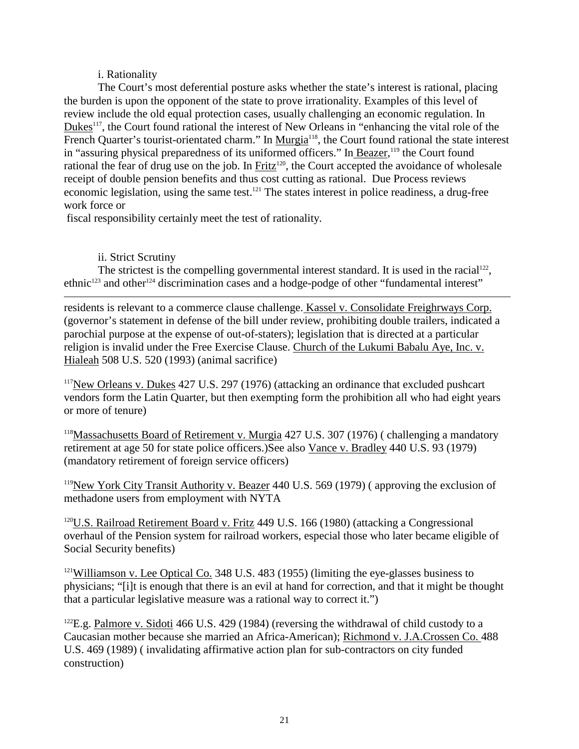#### i. Rationality

The Court's most deferential posture asks whether the state's interest is rational, placing the burdenisupo nthe opponent of the state to prove irrationality. Examples of this level of review include the old equal protection cases, usually challenging an economic regulation. In Dukes<sup>117</sup>, the Court found rational the interest of New Orleans in "enhancing the vital role of the French Quarter's tourist -orientated charm." In Murgia<sup>118</sup>, the Court found rational the state interest in "assuring physical preparedness of its uniformed officers." In Beazer, <sup>119</sup> the Court found rational the fear of drug use on the job. In Fritz<sup>120</sup>, the Court accepted the avoidance of wholesale receipt of double pension benefits and thus cost cutting as rational. Due Process reviews economic legislation, using the same test. <sup>121</sup> The states interest in police readiness, a drug -free workforceor

fisca lresponsibility certainly meet the test of rationality.

# ii. Strict Scrutiny

The strictest is the compelling governmental interest standard. It is used in the racial  $122$ ,  $ethnic^{123}$  and other  $124$  discrimination cases and a hodge -podge of other "fundamental interest"

residentsisrel evantto a commerce clause challenge. Kasselv. Consolidate Freighrways Corp. (governor's statement in defense of the bill underreview, prohibiting double trailers, indicated a parochial purpose at the expense of out -of-staters); legislation that is direc ted at a particular religionisinvalid under the Free Exercise Clause. Church of the Lukumi Babalu Aye, Inc. v. Hialeah 508 U.S. 520 (1993) (animal sacrifice)

<sup>117</sup>New Orleansv. Dukes 427U.S. 297 (1976) (attacking an ordinance that excluded pushcart vendors form the Latin Quarter, but then exempting form the prohibition all who had eighty ears ormore of tenure)

<sup>118</sup>Massachusetts Board of Retirement v. Murgia 427U.S.307 (1976) (challenging a mandatory retirementatage50forstatepolice officers.)See also Vancev.Bradley 440U.S.93(1979) (mandatory retirement of foreign service of ficers)

<sup>119</sup>New York City Transit Authority v. Beazer 440 U.S. 569 (1979) (approving the exclusion of methadone users from employment with NYTA

<sup>120</sup>U.S. Railroad Retirement Board v. Fritz 449 U.S. 166 (1980) (attacking a Congressional overhaul of the Pension system for railroad workers, especial those who later became eligible of Social Security benefits)

<sup>121</sup>Williamsonv.LeeOpticalCo. 348U.S.483(1955)(limiting the eye -glasses bus iness to physicians; "[i]tisenoughthat there is an evilathand for correction, and that it might be thought that a particular legislative measure was a rational way to correct it.")

<sup>122</sup>E.g. Palmorev. Sidoti 466U.S.429(1984) (reversing the withdrawal of child custody to a Caucasian mother becauses hemarried an Africa - American): Richmondy. J.A.Crossen Co. -American); Richmondv. J.A.Crossen Co. 488 U.S.469(1989)(invalidating affirmative action planfor sub -contractors on city funded construction)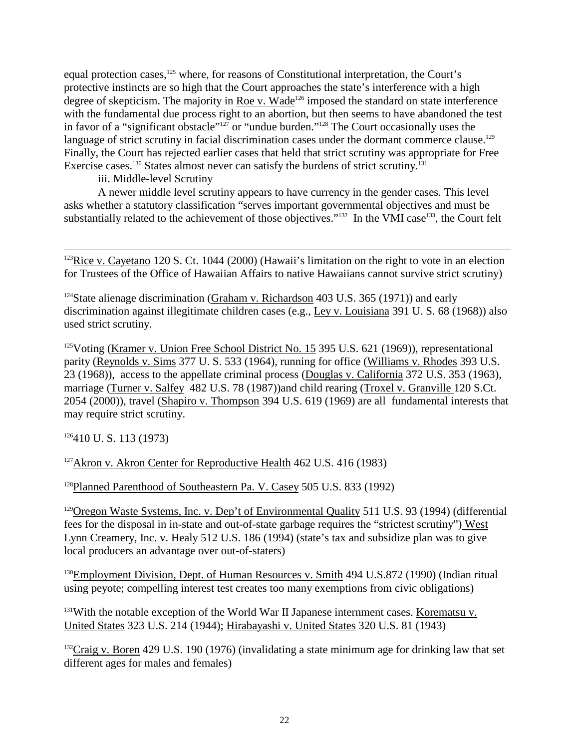equal protection cases, <sup>125</sup> where, for reasons of Constitutional interpretation, the Court's protective instincts are so high that the Court approaches the state's interference with a high degree of skepticism. The majority in Roev. Wade <sup>126</sup> imposed the standard on state interference with the fundamental due process right to an abortion, but then seems to have abandoned the test in favor of a "significant obstacle" <sup>127</sup> or "undue burden." <sup>128</sup> The Court occasionally uses the language of stricts crutiny infacial discrimination cases under the dormant commerce clause. <sup>129</sup> Finally, the Court has rejected earlier cases that held that strict scrutiny was appropriate for Free Exercisecases. <sup>130</sup>States almost never can satisfy the burdens of strict scrutiny.

iii. Middle -level Scrutiny

Anewer middle levels crutiny appears to have currency in the gender cases. This level asks whether a statutory classification "serves important governmental objectives and must be substantially related to the achievement of those objectives.  $^{133}$  In the VMI case  $^{133}$ , the Co substantially related to the achievement of those objectives. "<sup>132</sup> In the VMI case <sup>133</sup>, the Court felt

 $123$ Ricev. Cayetano  $120$ S. Ct.  $1044(2000)$  (Hawaii's limitation on the right to vote in an election for Trustees of the Office of Hawaiian Affairs to native Hawaiians cannot survive strict scrutiny)

 $124$ State alienage discrimination (Graham v. Richardson  $403U.S.365(1971)$ ) and early discrimination against illegitimate children cases (e.g., Leyv. Louisiana 391 U.S. 68 (1968)) also used stricts crutiny.

<sup>125</sup>Voting (Kramery.Union Free School District No. 15  $395U.S. 621(1969)$ ), representational parity (Reynoldsv. Sims 377U.S.533 (1964), running for ordinaries williams v. Rhodes 393U.S. 23(1968)), access to the appellate criminal process (Douglas v. California 372U.S.353(1963), marriage (Turnerv. Salfey 482U.S. 78 (1987))and childrearing (Troxely. Granville 120S. Ct. 2054(2000)), travel (Shapirov. Thompson 394U.S.619 (1969) are all fundamental interests that may require stricts crutiny.

 $126410 U.S.113(1973)$ 

<sup>127</sup>Akronv. Akron Center for Reproductive Health 462U.S.416 (1983)

<sup>128</sup>Planned Parenthood of Southeastern Pa. V. Casey 505 U.S. 833 (1992)

 $129$ Oregon Waste Systems, Inc. v. Dep't of Environmental Quality  $511U.S. 93(1994)$  (differential feesforthedisposalinin -state and out -of-state garbage requires the "strictest scrutiny") West Lynn Creamery, Inc. v. Healy 512 U.S. 186 (1994) (state 'stax and subsidize plan was to give local producers an advantage over out -of-staters)

<sup>130</sup>EmploymentDivision, Dept. of Human Resources v. Smith 494 U.S.872 (1990) (Indian ritual using peyote; compelling interest test creates to omany exemptions from civic obligations)

<sup>131</sup>With the notable exception of the World War II Japanese internment cases. Korematsuv. United States 323 U.S. 214 (1944); Hirabayashiv. United States 320 U.S. 81 (1943)

 $132$ Craigv.Boren 429U.S.190(1976)(invalidating a state minimum age fo rdrinking law that set different ages formal esand females)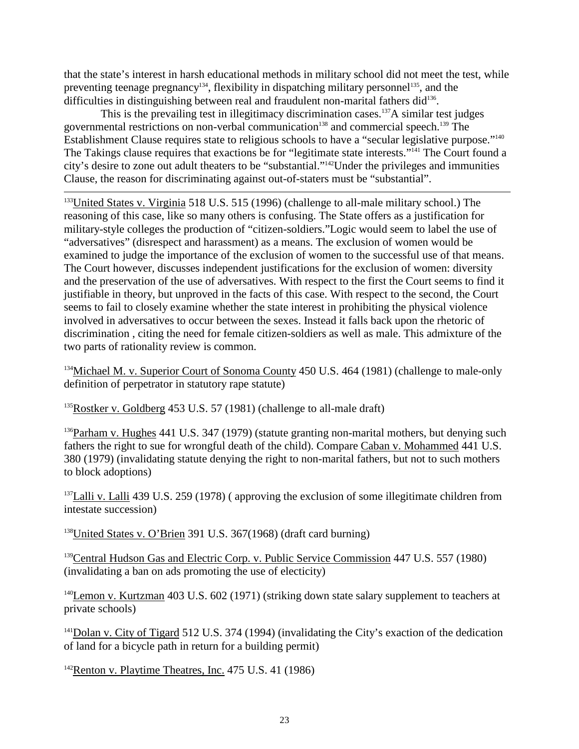that the state's interest in harsheducational methods in military school didnot meet the test, while preventing teenage pregnancy  $134$ , flexibility in dispatching military personnel  $135$ , and the difficulties in distinguishi ng between real and fraudulent non -marital fathers did <sup>136</sup>.

This is the prevailing test in illegitimacy discrimination cases.  $137$  Asimilar test judges governmental restrictions on non-verbal communication <sup>138</sup> and commercial speech. <sup>139</sup> The Establishment Clause requi resstate to religious schools to have a "secular legislative purpose." <sup>140</sup> The Takings clause requires that exactions be for "legitimate state interests." <sup>141</sup> The Court found a city's desire to zone out adult the aters to be "substantial." <sup>142</sup>Under the privileges a nd immunities Clause, the reason for discriminating against out -of-staters must be "substantial".

<sup>133</sup>United States v. Virginia 518 U.S. 515 (1996) (challenge to all -male military school.) The reasoning of this case, like somany others is confusing. The State of fers as a justification for military-style colleges the production of "citizen -soldiers." Logic would seem to label the use of "adversatives" (disrespectand harassment) as a means. The exclusion of women would be examined to judge the importance of the exclusion of women to the successfu luse of that means. The Courthowever, discusses independent justifications for the exclusion of women: diversity and the preservation of the use of adversatives. With respect to the first the Court seems to find it justifiable in theory, but unproved in the facts of this case. With respect to the second, the Court seemstofailtoclosely examine whether the state interest in prohibiting the physical violence involved inadversatives to occur between thesexes. Instead it falls back upon the rhetoric of discrimination, citing the need for female citizen -soldiers as well as male. This admixture of the two parts of rationality review is common.

<sup>134</sup>Michael M. v. Superior Court of Sonoma County 450 U.S. 464 (1981) (challenge to male -only definition of perpetrat or instatutory rapestatute)

 $135$ Rostkerv. Goldberg  $453U.S.57(1981)$  (challenge to all -male draft)

 $^{136}$ Parhamv. Hughes 441U.S. 347(1979) (statute granting non -marital mothers, but den ying such fathers the right to sue for wrongful death of the child). Com pare Caban v. Mohammed 441 U.S.<br>380(1979) (invalidating statuted enving the rightton on -marital fathers, but not to such mothers 380(1979) (invalidating statuted enving the right to nonto block adoptions)

<sup>137</sup>Lalliv.Lalli 439U.S.259(1978)(approving the exclusion of some illegitimate children from intestate succession)

<sup>138</sup>United States v. O'Brien 391 U.S. 367 (1968) (draft card burning)

<sup>139</sup>Central Hudson Gas and Electric Corp. v. Public Service Commission 447 U.S. 557 (1980)  $(invalidating aban on a dspromoting the use of electricity)$ 

<sup>140</sup>Lemonv. Kurtzman 403U.S. 602(1971) (striking down states alary supplement to teachers at privateschools)

<sup>141</sup>Dolany.City of Tigard 512U.S.374 (1994) (invalidating the City's exaction of the dedication of land for a bicycle path in return for a building permit)

 $142$ Rentonv. Playt ime Theatres, Inc.  $475U.S.41(1986)$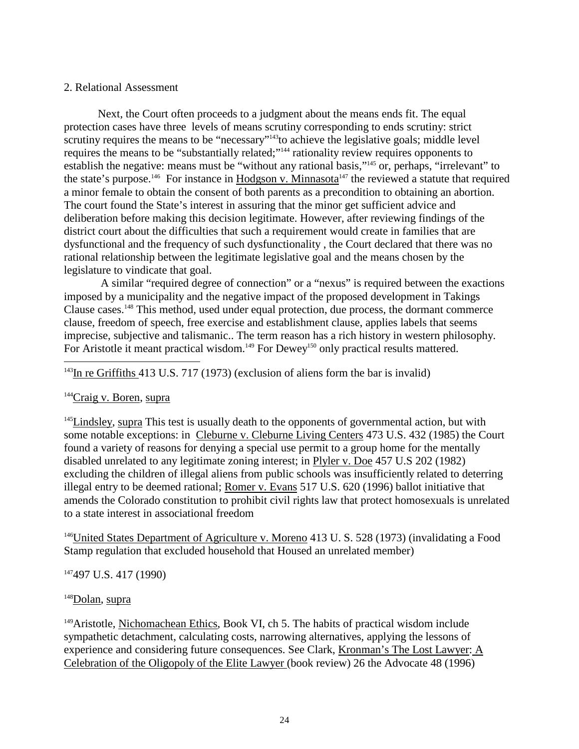#### 2. Relational Assessment

Next, the Court often proceeds to a judgment about the means ends fit. The equal protection cases have three levels of means scru tiny corresponding to ends scrutiny: strict scrutiny requires the means to be "necessary"  $143$  to achieve the legislative goals; middle level requires the means to be "substantially related;"  $144$  rationality review requires opponents to establish the negative: mea ns must be "without any rational basis," <sup>145</sup> or, perhaps, "irrelevant" to the state's purpose. <sup>146</sup> For instance in Hodgsony. Minnasota <sup>147</sup> the reviewed a statute that required aminor female to obtain the consent of both parents as a precondition to obtaining ana bortion. The court found the State's interestings suring that the minor gets ufficient advice and deliberation before making this decision legitimate. However, after reviewing findings of the district court about the difficulties that such a requirement w ould create infamilies that are dysfunctional and the frequency of such dysfunctionality, the Court declared that there was no rational relationship between the legitimate legislative goal and the means chosen by the legislature to vindicate that goal.

A similar "required degree of connection" or a "nexus" is required between the exactions imposed by a municipality and the negative impact of the proposed development in Takings Clause cases. <sup>148</sup> This method, used under equal protection, due process, the dor mant commerce clause, freedom of speech, free exercise and establishment clause, applies labels that seems imprecise, subjective and talismanic.. The term reason has a rich history in western philosophy. For Aristotle it meant practical wisdom. <sup>149</sup> For Dewey <sup>150</sup> only practical results mattered.

 $143$ InreGriffiths 413U.S.717(1973)(exclusion of aliens form the barisinvalid)

#### $144$ Craigv.Boren, supra

<sup>145</sup>Lindsley, supra Thistestisusually death to the opponents of governmental action, but with somenotable excep tions: in Cleburne v. Cleburne Living Centers 473U.S.432 (1985) the Court found a variety of reasons for denying a special use permit to a group home for the mentally disabled unrelated to any legitimate zoning interest; in Plyler v. Doe 457 U.S 202 (19 82) excluding the children of illegal aliens from public schools was insufficiently related to deterring illegal entry to be deemed rational; Romery. Evans 517U.S. 620 (1996) ballot initiative that amends the Colorado constitution to prohibit civil right slaw that protect homosexual sisum related to a state interestinas sociational freedom

<sup>146</sup>United States Department of Agriculture v. Moreno 413U.S.528 (1973) (invalidating a Food Stampregulation that excluded household that Housed an unrelated member)

<sup>147</sup>497U.S.417(1990)

#### <sup>148</sup>Dolan, supra

<sup>149</sup>Aristotle, Nichomachean Ethics, Book VI, ch 5. The habits of practical wisdom include sympathetic detachment, calculating costs, narrowing alternatives, applying the lessons of experience and considering future conseque nces. See Clark, Kronman's The Lost Lawyer : A Celebration of the Oligopoly of the Elite Lawyer (book review) 26 the Advocate 48 (1996)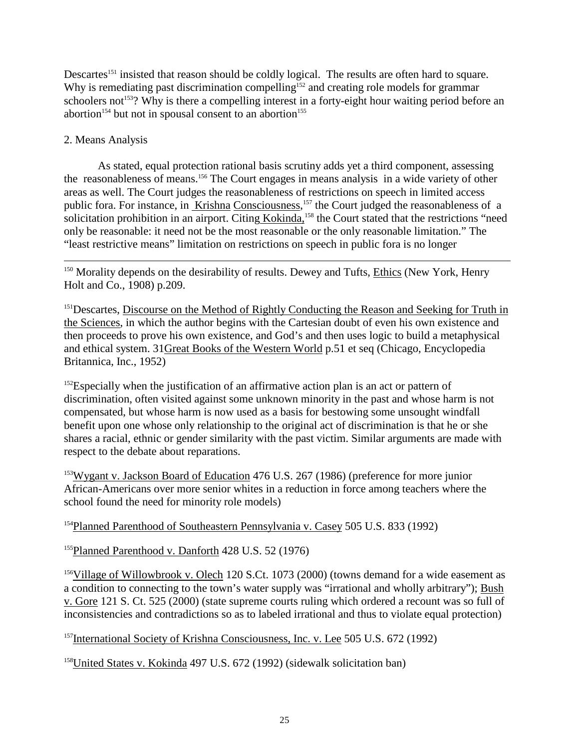Descartes<sup>151</sup> insisted that reasonshould be coldly logical. The results are often hard to square. Why is remediating past discrimination compelling  $152$  and creating role models for grammar schoolers not <sup>153</sup>? Why is there a compel ling interest in a forty -eight hour waiting period before an abortion<sup>154</sup> but noting person to a period before an abortion. abortion<sup>154</sup> but notins pousal consent to an abortion

# 2. Means Analysis

As stated, equal protection rational basis scrutiny adds yet a third component, assessing the reasonableness of means. <sup>156</sup> The Court engages in means analysis in a wide variety of other areas as well. The Court judges the reasonableness of restrictions on speech in limited access publicfora. Forinstance, in Krishna Consciousness, <sup>157</sup>the Court judged the reasonableness of a solicitation prohibition in an airport. Citing Kokinda, <sup>158</sup> the Court stated that the restrictions "need only be reasonable: it need not be the most reasonable or the only reasonable limitation." The "least restrictive means" limitation on restrictions on sp eech in public for a is no longer

 $150$  Morality depends on the desirability of results. Dewey and Tufts, Ethics (New York, Henry Holtand Co., 1908) p. 209.

<sup>151</sup>Descartes, Discourse on the Method of Rightly Conducting the Reason and Seeking for Truth in the Sciences, in which the author begins with the Cartesian doubt of even his own existence and then proceeds to prove his own existence, and God's and then uses lo gic to build a metaphysical and ethical system. 31 Great Books of the Western World p.51 et seq (Chicago, Encyclopedia Britannica, Inc., 1952)

<sup>152</sup>Especially when the justification of an affirmative action planis an actorpattern of discrimination, often vi sited against some unknown minority in the past and whose harm is not compensated, but whose harmisnow used as a basis for bestowing some unsought windfall benefitupon one whose only relationship to the original act of discrimination is that he or she shares a racial, ethnic or gender similarity with the past victim. Similar arguments are made with respect to the debate about reparations.

 $153$ Wyganty.JacksonBoard of Education  $476$ U.S.  $267(1986)$  (preference for more junior African-Americans over more sen ior whitesina reduction in force among teachers where the school found the need for minority role models)

 $154$ Planned Parenthood of Southeastern Pennsylvaniav. Casey  $505U.S. 833(1992)$ 

<sup>155</sup>Planned Parenthood v. Danforth 428 U.S. 52 (1976)

<sup>156</sup>Village of Willowb rooky. Olech 120S.Ct. 1073 (2000) (towns demand for a wide easement as a condition to connecting to the town's waters upply was "irrational and wholly arbitrary"); Bush v. Gore 121 S.Ct. 525 (2000) (states upreme courts ruling which ordered a recount wa ssoful lof inconsistencies and contradictions so as to labele dirrational and thus to violate equal protection)

 $157$ International Society of Krishna Consciousness, Inc. v. Lee  $505U.S. 672(1992)$ 

 $158$ United States v. Kokinda 497U.S. 672 $(1992)$  (sidewalk solic itation ban)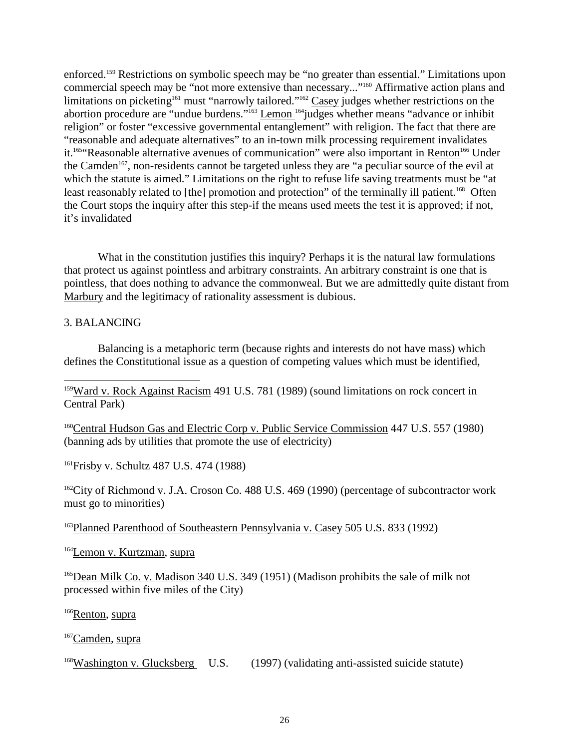enforced.<sup>159</sup>Restrictions on symbolic speech may be "no greater than essential." Limitations upon commercial speech may be "not more extensive than necessary..." <sup>160</sup> Affirmative action plans and limitationsonpicketing <sup>161</sup> must "n arrowlytailored." <sup>162</sup> Casey judges whether restrictions on the abortion procedure are "undue burdens." <sup>163</sup> Lemon <sup>164</sup> judges whether means "advance or inhibit religion" or foster "excessive governmental entanglement" with religion. The fact that there are "reasonable and adequate alternatives" to an in -town milk processing requirement invalidates it.<sup>165</sup>"Reasonable alternative avenues of communication" were also important in Renton<sup>166</sup> Under the Camden<sup>167</sup>, non-residents cannot be targeted unless the yare "apeculiar source" of the evil at which the statute is aimed." Limitations on the right to refuse lifes a ving treatments must be "at least reasonably related to [the] promotion and protection" of the terminally illustient. <sup>168</sup> Often the Court stops the inquiry after this step -if the means used meets the test it is approved; if not, it's invalidated

What in the constitution justifies this inquiry? Perhaps it is the natural law formulations that protectus against pointless and arbitrary constraints. An arbitrary constraint is one that is pointless, that does nothing to advance the commonweal. But we are admittedly quite distant from Marbury and the legitimacy of rationality assessment is dubious.

#### 3. BALANCING

Balancing is a metaphoric term (because rights and interests donot have mass) which defines the Constitutional issue as a question of competing values which must be identified,

<sup>159</sup>Wardv. Rock Against Racism 491 U.S. 781 (1989) (sound limitations on rock concert in CentralPark)

<sup>160</sup>Central Hudson Gas and Electric Corp v. Public Service Commission 447U.S. 557 (1980) (banning ads by utilities that promote the use of elect ricity)

<sup>161</sup>Frisbyv.Schultz 487U.S. 474 (1988)

<sup>162</sup>City of Richmond v. J.A. Croson Co. 488 U.S. 469 (1990) (percentage of subcontractor work must go to minorities)

 $163$ Planned Parenthood of Southeastern Pennsylvaniav. Casey 505 U.S. 833 (1992)

<sup>164</sup>Lemony. Kurtzma n. supra

<sup>165</sup>DeanMilkCo.v.Madison 340U.S.349(1951) (Madison prohibits the sale of milk not processed within five miles of the City)

<sup>166</sup>Renton, supra

<sup>167</sup>Camden, supra

<sup>168</sup>Washington v. Glucksberg U.S.  $(1997)$  (validating anti -assisted suicide statute )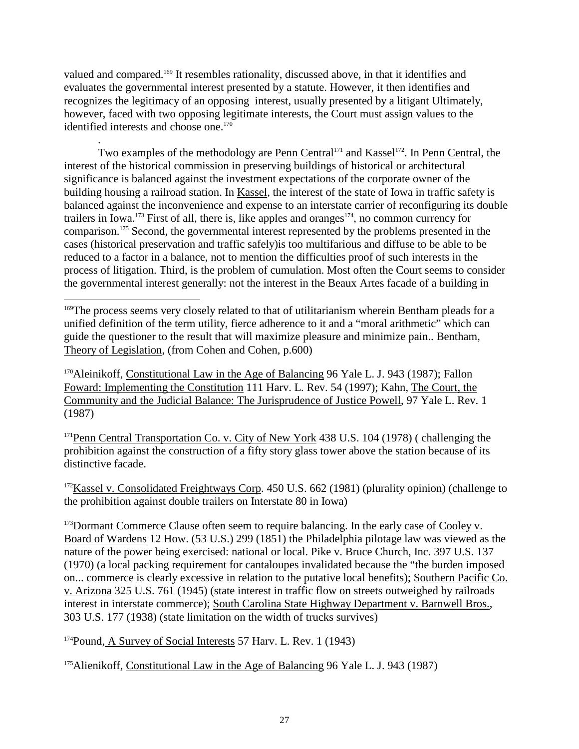valued and compared. <sup>169</sup> It resembles rationality, discussed above, in that it identifies and evaluates the governmental interest presented by astatute. However, it then identifies and recognizes the legitimacy of an opposing interest, usually presented by a litigant Ultimately, however, faced with two opposing legitimate interests, the Court must assign values to the identified interests and choose one.  $170$ 

.

Two examples of the methodology are Penn Central <sup>171</sup> and <u>Kassel</u><sup>172</sup>. In Penn Central , the interest of the historical commission in preserving buildings of historical or architectural significance is balanced against the investment expectations of the corporate owner of the building housing a railroad station. In Kassel, the interest of the state of Iowa intraffics afety is balanced against the inconvenience and expense to an interstate carrier of reconfiguring its double trailers in Iowa.  $173$  Firs to fall, there is, like apples and oranges  $174$ , no common currency for comparison.<sup>175</sup> Second, the governmental interest represented by the problems presented in the cases (historical preservation and traffics afely) is too multifarious and diffuse to be able to be reduced to a factor in a balance, not to mention the difficulties proof of such interests in the process of litigation. Third, is the problem of cumulation. Most often the Court seems to consider the governmental interest generally: not the interest in the Beaux Artes facade of a building in

<sup>170</sup>Aleinikoff, Constitutional Law in the Age of Balancing 96 Yale L. J. 943 (1987); Fallon Foward: Implementing the Constitution 111 Harv. L. Rev. 54 (1997); Kahn, The Court, the Community and the Judicial Balance: The Jurisprudence of Justice Powell . 97 Yale L. Rev. 1 (1987)

<sup>171</sup>PennCentralTransportationCo.v.City of New York 438 U.S. 104 (1978) (challenging the prohibition against the construction of a fifty story glass two were above the station because of its distinctive facade.

<sup>172</sup>Kasselv.Consolidated Freightways Corp .450U.S.662(1981) (plurality opinion) (challenge to the prohibition against double trailers on Interstate 80 in Iowa)

<sup>173</sup>Dormant Commerce Clause of tenseem to require balancing. In the early case of Cooley v. Board of Wardens 12 How. (53 U.S.) 299 (1851) the Philadelphia pilotage law was viewed as the nature of the power being exercised: national or local. Pike v. Bruce Church, Inc. 397U.S.137 (1970) (aloc alpacking requirement for cantaloupes invalidated because the "the burden imposed on... commerce is clearly excessive in relation to the putative local benefits); Southern Pacific Co. v. Arizona 325 U.S. 761 (1945) (state interest intraffic flow on stree ts outweighed by railroads interestininterstate commerce); South Carolina State Highway Department v. Barnwell Bros., 303 U.S. 177 (1938) (state limitation on the width of trucks survives)

<sup>174</sup>Pound, A Survey of Social Interests 57 Harv. L. Rev. 1 (1943)

<sup>175</sup>Alienikoff, Constitutional Law in the Age of Balancing 96 Yale L. J. 943 (1987)

<sup>&</sup>lt;sup>169</sup>The process seems very closely related to that of utilitarianism wherein Bentham pleads for a unified definition of the term utility, fierce adherence to it and a "moral arithmetic" which can guide the questioner to the result that will maximize pleasur e and minimize pain.. Bentham, Theory of Legislation , (from Cohen and Cohen, p.600)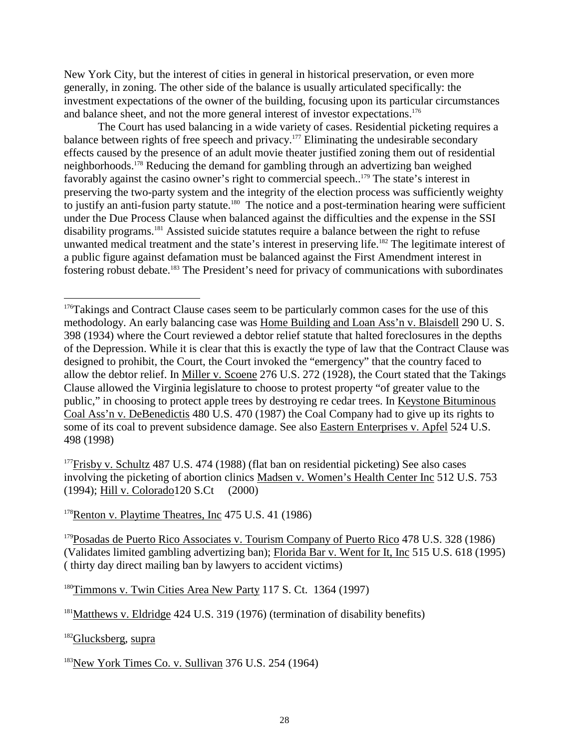New York City, but the interest of cities in general inhistorical preservation, or even more generally, in zoning. The other side of the balance is usually articulated specifically: the investment expectations of the owner of the building, focusing upon its particular circumstances and balances heet, and not the more general interest of investor expectations.

The Courthas used balancing in a wide variety of cases. Residential picketing requires a balance between rights of free speech and privacy. <sup>177</sup> Eliminating the undesirable secondary effects caused by the presence of an adult movie theater justified zoning them out of residential neighborhoods.<sup>178</sup>Reducing the demand for gambling through anadvertizing ban weighed favorably against the casino owner's right to commercial speech.. <sup>179</sup> The state's interest in preserving the two -party system and the integrity of the election process was sufficiently weighty to justify an anti-fusion party statute. <sup>180</sup> The notice and a post -termination hearing were sufficient under the Due Process Clause when balanced against the difficulties and the expense in the SSI disability programs. <sup>181</sup> Assisted suicide statutes require a balance between the right to refuse unwanted medical treatment and the state's interest in preserving life. <sup>182</sup>The legitimate interest of apublic figure against defamation must be balanced against the First Amendment interest in fostering robust debate. <sup>183</sup> The President's need for privacy of communications with subordinates

 $177$ Frisbyv. Schultz 487U.S. 474 $(1988)$ (flatbanon residential picketing) See also cases involving the picketing of abortion clinics Madsen v. Women's Health Center Inc 512U.S. 753 (1994); Hilly. Colorado 120S. Ct(2000)

<sup>178</sup>Rentonv.Playtime Theatres, Inc 475U.S.41(1986)

182Glucksberg, supra

 $183$ New York Times Co. v. Sullivan 376 U.S.  $254(196 \quad 4)$ 

<sup>&</sup>lt;sup>176</sup>Takings and Contract Clause cases seem to be particularly common cases for the use of this methodology. A nearly balancing case was **Home Building and Loan** Ass' nv. Blaisdell HomeBuilding and Loan Ass'n v. Blaisdell 290 U.S. 398(1934) where the Court reviewed a debtor relief statute that halted fore closures in the depths of the Depression. While it is clear that this is exactly the type of law that the Contract Clause was designed to prohibit, the Court, the Courti nvoked the "emergency" that the country faced to allow the debtorrelief. In Millery. Scoene 276U.S.272(1928), the Court stated that the Takings Clause allowed the Virginia legislature to choose to protest property "of greater value to the public," in choosing to protect apple trees by destroying recedar trees. In Keystone Bituminous Coal Ass'nv. DeBenedictis 480 U.S. 470 (1987) the Coal Company had to give up its rights to some of its coal to prevent subsidenced amage. See also Eastern Enterprises v. Apfel 524 U.S. some of its coal to prevent subsidence damage. See also 498 (1998)

<sup>&</sup>lt;sup>179</sup>Posadas de Puerto Rico Associates v. Tourism Company of Puerto Rico 478 U.S. 328 (1986) (Validates limited gambling advertizing ban); Florida Bary. Wentfor It, Inc 515 U.S. 618 (1995) (thirty day direc tmailing ban by lawyers to accident victims)

<sup>&</sup>lt;sup>180</sup>Timmonsv.TwinCitiesAreaNewParty 117S.Ct.1364(1997)

 $181$ Matthewsv. Eldridge  $424U.S.319(1976)$  (termination of disability benefits)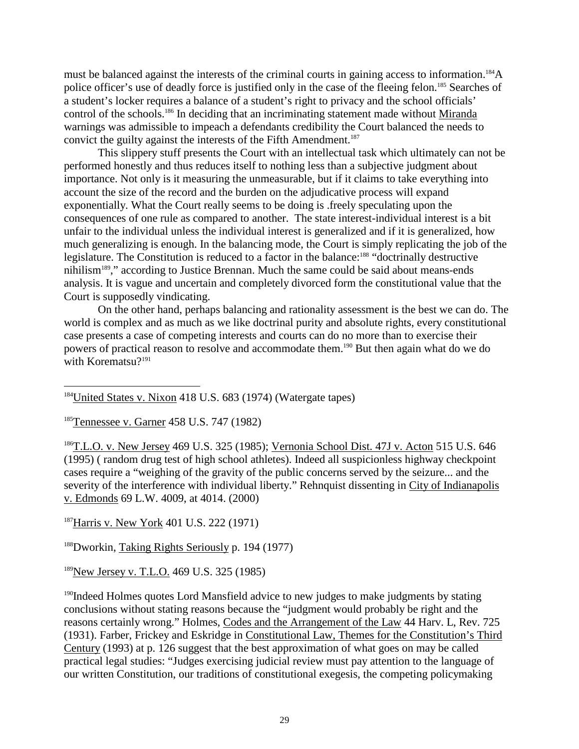must be balanced against the interest sof the criminal courts in gaining access to information. police officer's use of deadly force is justified only in the case of the fleeing felon. <sup>185</sup> Searches of a student's locker requires a balance of a student's righ to privacy and the school officials'  $control of the schools.$ <sup>186</sup>Indeciding that an incriminating statement made without Miranda warnings was admissible to impeach a defendants credibility the Court balanced the needs to convict the guilty against the interest rest softhe Fifth Amendment. This slippery stuff presents the Court with an intellectual task which ultimately cannot be performed honestly and thus reduces itself to nothing less than a subjective judgment about importance. Not only is it measuring the unmeasurable, but if it claims to take everything into account the size of the record and the burden on the adjudicative process will expand exponentially. What the Court really seems to be doing is . freely speculating upon the consequences of onerule as compared to another. The state interest individual interestisabit unfair to the individual unless the individual interest is generalized and if it is generalized, how much generalizing is enough. In the balancing mode, the Courtissimply replicating the job of the legislature. The Constitution is reduced to a factor in the balance: legislature. The Constitution is reduced to a factor in the balance: nihilism<sup>189</sup>," according to Justice Brennan. Much the same could be said about means -ends analysis. It is vague and uncertain and comple tely divorced form the constitutional value that the Courtis supposedly vindicating.

On the other hand, perhaps balancing and rationality assessment is the best we can do. The world is complex and as much as we like doctrinal purity and absolute rights, every constitutional case presents a case of competing interests and courts can donomore than to exercise their powers of practical reason to resolve and accommodate them. <sup>190</sup> But then again what do we do with Korematsu?<sup>191</sup>

<sup>184</sup>United States v. Nixon 418 U.S. 683 (1974) (Watergate tapes)

<sup>185</sup>Tennesseev.Garner 458U.S.747(1982)

<sup>186</sup>T.L.O.v.New Jersey 469U.S.325(1985); Vernonia School Dist. 47J v. Acton 515U.S.646 (1995) (random drugtest of high school athletes). Indeed all suspicionless highway check point cases require a "weighing of the gravity of the public concerns served by the seizure... and the severity of the interference with individual liberty." Rehnquist dissenting in City of Indianapolis v. Edmonds 69L. W. 400 9, at 4014. (2000)

<sup>187</sup>Harrisv.NewYork 401U.S.222(1971)

 $188$ Dworkin, Taking Rights Seriously p. 194(1977)

<sup>189</sup>New Jersey v. T. L. O. 469 U. S. 325 (1985)

<sup>190</sup>Indeed Holmes quotes Lord Mansfield advice to new judges to make judgments by stating conclusions without stating reasons because the "judgment would probably be right and the reasons certainly wrong." Holmes, Codes and the Arrangement of the Law 44 Harv. L, Rev. 725 (1931). Farber, Frickey and Eskridge in Constitutional Law, The mes for the Constitution's Thir d Century (1993) at p. 126 suggest that the best approximation of what goes on may be called practical legal studies: "Judges exercising judicial review must pay attention to the language of our written Constitution, our traditions of constitutional exeges is, the competing policy making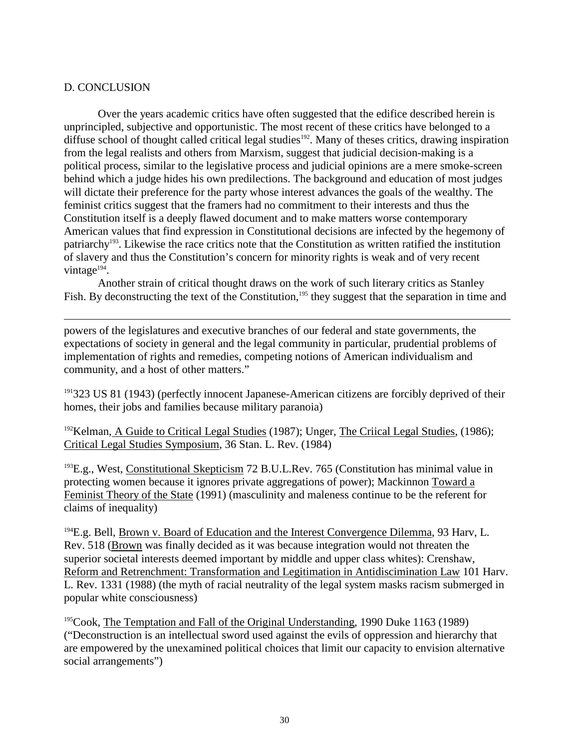### D. CONCLUSION

Overtheyears aca demic critics have often suggested that the edificed escribed herein is unprincipled, subjective and opportunistic. The most recent of these critics have belonged to a diffuse school of thought called criticalleged studies  $^{192}$ . Many of these scritics, draw in diffuse school of thought called critical legals tudies  $192$ . Many of these scritics, drawin ginspiration from the legal realists and others from Marxism, suggest that judicial decision -making is a political process, similar to the legislative process and judicial opinions are a mere smoke -screen behind which a judge hides his own predilections. The background and education of most judges will dictate their preference for the party whose interest advances the goals of the wealthy. The feminist critics suggest that the framers had no commitment to their interests and thus the Constitutionitselfis adeeplyflawed document and to make matters worse contemporary American values that find expression in Constitutional decisions are infected by the hegemony of patriarchy<sup>193</sup>. Likewise the race critics note that the Constitution as written ratified the institution of slavery and thus the Constitution's concern for minority rights is weak and of very recent vintage $194$ .

Another strain of critical thought draws on the work of such literary critics as Stanley Fish. By deconstructing the text of the Constitution, <sup>195</sup> they suggest that the separation in time and

powers of the legislatures and executive branches of our federal and state governments, the expectations of society in general and the legal community in particular, prudential problems of implementation of rights and remedie s, competing notions of American individualism and community, and a host of other matters."

<sup>191</sup>323US81(1943)(perfectlyinnocent Japanese -American citizens are forcibly deprived of their homes, their jobs and families because military paranoia)

<sup>192</sup>Kelman, A Guideto Critical Legal Studies (1987); Unger, The Critical Legal Studies (1986); Critical Legal Studies Symposium , 36 Stan. L. Rev. (1984)

 $193E.g., West,$  Constitutional Skepticism 72B.U.L.Rev. 765 (Constitution has minimal value in protecting women becaus eitignores private aggregations of power); Mackinnon Towarda Feminist Theory of the State (1991) (masculinity and maleness continue to be the referent for claims of inequality)

 $194E.g.Bell$ , Brownv. Board of Education and the Interest Convergence Dilemma , 93 Harv, L. Rev. 518 (Brownwasfinally decided as it was because integration would not threaten the superior societal interests deemed important by middle and upper class whites): Crenshaw, Reform and Retrenchment: Transformation and Legitimation in Ant idiscimination Law 101 Harv. L. Rev. 1331 (1988) (the myth of racial neutrality of the legals ystem masks racism submerged in popular white consciousness)

<sup>195</sup>Cook, The Temptation and Fall of the Original Understanding  $\qquad$ , 1990 Duke 1163 (1989) ("Deconstruction is an intellectual sword used against the evils of oppression and hierarchy that are empowered by the unexamined political choices that limit our capacity to envisional ternative social arrangements")